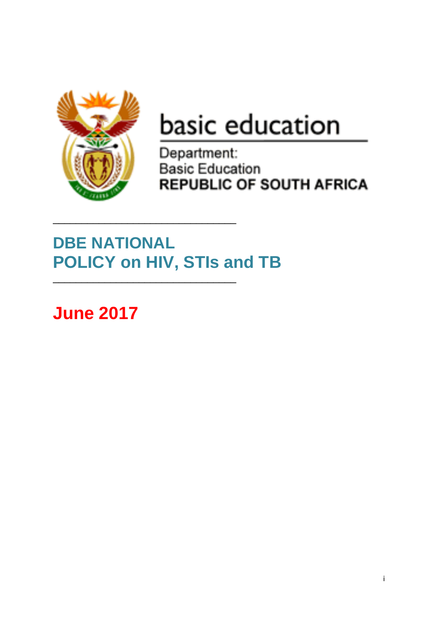

# basic education

Department: **Basic Education REPUBLIC OF SOUTH AFRICA** 

# **DBE NATIONAL POLICY on HIV, STIs and TB**

\_\_\_\_\_\_\_\_\_\_\_\_\_\_\_\_\_\_\_\_\_\_\_\_\_\_\_\_\_\_\_\_

\_\_\_\_\_\_\_\_\_\_\_\_\_\_\_\_\_\_\_\_\_\_\_\_\_\_\_\_\_\_\_\_

**June 2017**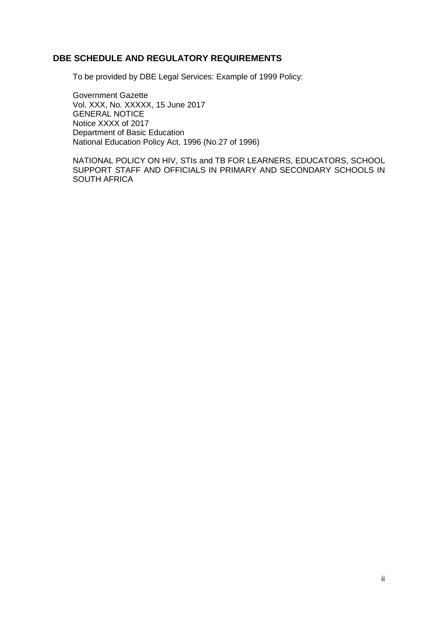# **DBE SCHEDULE AND REGULATORY REQUIREMENTS**

To be provided by DBE Legal Services: Example of 1999 Policy:

Government Gazette Vol. XXX, No. XXXXX, 15 June 2017 GENERAL NOTICE Notice XXXX of 2017 Department of Basic Education National Education Policy Act, 1996 (No.27 of 1996)

NATIONAL POLICY ON HIV, STIs and TB FOR LEARNERS, EDUCATORS, SCHOOL SUPPORT STAFF AND OFFICIALS IN PRIMARY AND SECONDARY SCHOOLS IN SOUTH AFRICA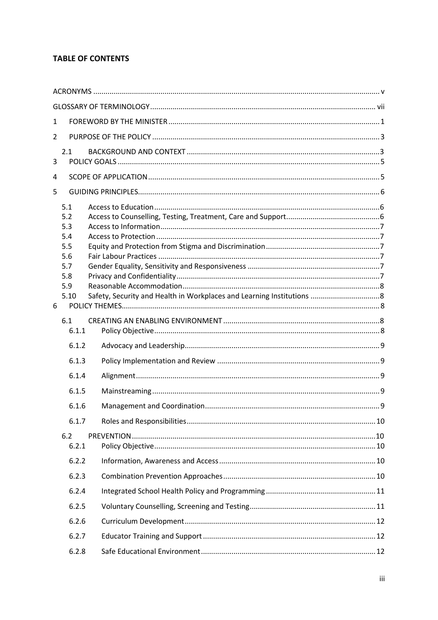# **TABLE OF CONTENTS**

| $\mathbf{1}$   |                                                                            |  |
|----------------|----------------------------------------------------------------------------|--|
| $\overline{2}$ |                                                                            |  |
| 3              | 2.1                                                                        |  |
| 4              |                                                                            |  |
| 5              |                                                                            |  |
| 6              | 5.1<br>5.2<br>5.3<br>5.4<br>5.5<br>5.6<br>5.7<br>5.8<br>5.9<br>5.10<br>6.1 |  |
|                | 6.1.1                                                                      |  |
|                | 6.1.2                                                                      |  |
|                | 6.1.3                                                                      |  |
|                | 6.1.4                                                                      |  |
|                | 6.1.5                                                                      |  |
|                | 6.1.6                                                                      |  |
|                | 6.1.7                                                                      |  |
|                | 6.2<br>6.2.1                                                               |  |
|                | 6.2.2                                                                      |  |
|                | 6.2.3                                                                      |  |
|                | 6.2.4                                                                      |  |
|                | 6.2.5                                                                      |  |
|                | 6.2.6                                                                      |  |
|                | 6.2.7                                                                      |  |
|                | 6.2.8                                                                      |  |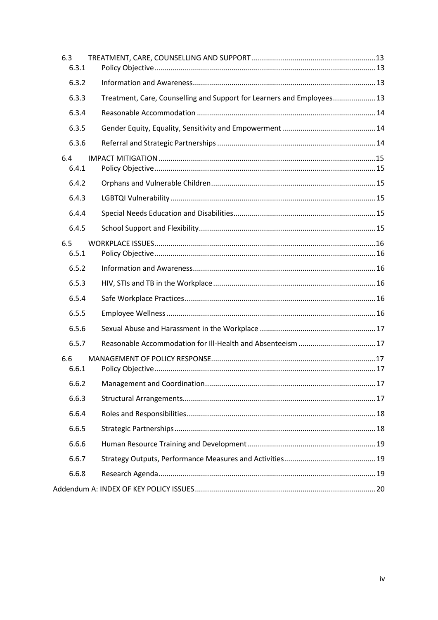| 6.3 | 6.3.1 |                                                                        |  |
|-----|-------|------------------------------------------------------------------------|--|
|     | 6.3.2 |                                                                        |  |
|     | 6.3.3 | Treatment, Care, Counselling and Support for Learners and Employees 13 |  |
|     | 6.3.4 |                                                                        |  |
|     | 6.3.5 |                                                                        |  |
|     | 6.3.6 |                                                                        |  |
| 6.4 | 6.4.1 |                                                                        |  |
|     | 6.4.2 |                                                                        |  |
|     | 6.4.3 |                                                                        |  |
|     | 6.4.4 |                                                                        |  |
|     | 6.4.5 |                                                                        |  |
| 6.5 | 6.5.1 |                                                                        |  |
|     | 6.5.2 |                                                                        |  |
|     | 6.5.3 |                                                                        |  |
|     | 6.5.4 |                                                                        |  |
|     | 6.5.5 |                                                                        |  |
|     | 6.5.6 |                                                                        |  |
|     | 6.5.7 |                                                                        |  |
| 6.6 | 6.6.1 |                                                                        |  |
|     |       |                                                                        |  |
|     | 6.6.3 |                                                                        |  |
|     | 6.6.4 |                                                                        |  |
|     | 6.6.5 |                                                                        |  |
|     | 6.6.6 |                                                                        |  |
|     | 6.6.7 |                                                                        |  |
|     | 6.6.8 |                                                                        |  |
|     |       |                                                                        |  |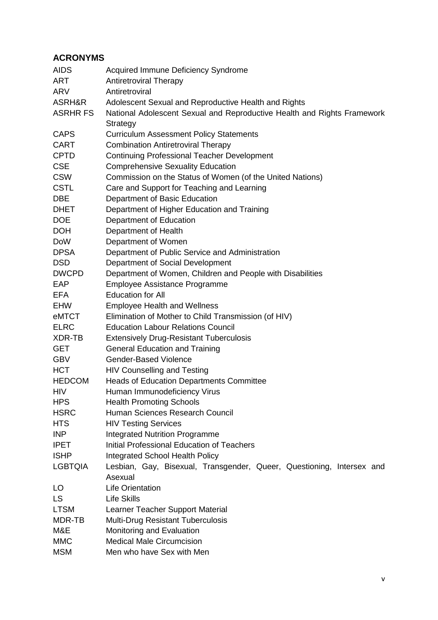# <span id="page-4-0"></span>**ACRONYMS**

| <b>AIDS</b>     | Acquired Immune Deficiency Syndrome                                     |
|-----------------|-------------------------------------------------------------------------|
| ART             | <b>Antiretroviral Therapy</b>                                           |
| <b>ARV</b>      | Antiretroviral                                                          |
| ASRH&R          | Adolescent Sexual and Reproductive Health and Rights                    |
| <b>ASRHR FS</b> | National Adolescent Sexual and Reproductive Health and Rights Framework |
|                 | Strategy                                                                |
| <b>CAPS</b>     | <b>Curriculum Assessment Policy Statements</b>                          |
| <b>CART</b>     | <b>Combination Antiretroviral Therapy</b>                               |
| <b>CPTD</b>     | <b>Continuing Professional Teacher Development</b>                      |
| <b>CSE</b>      | <b>Comprehensive Sexuality Education</b>                                |
| <b>CSW</b>      | Commission on the Status of Women (of the United Nations)               |
| <b>CSTL</b>     | Care and Support for Teaching and Learning                              |
| <b>DBE</b>      | Department of Basic Education                                           |
| <b>DHET</b>     | Department of Higher Education and Training                             |
| <b>DOE</b>      | Department of Education                                                 |
| <b>DOH</b>      | Department of Health                                                    |
| <b>DoW</b>      | Department of Women                                                     |
| <b>DPSA</b>     | Department of Public Service and Administration                         |
| <b>DSD</b>      | Department of Social Development                                        |
| <b>DWCPD</b>    | Department of Women, Children and People with Disabilities              |
| EAP             | Employee Assistance Programme                                           |
| EFA             | <b>Education for All</b>                                                |
| <b>EHW</b>      | <b>Employee Health and Wellness</b>                                     |
| eMTCT           | Elimination of Mother to Child Transmission (of HIV)                    |
| <b>ELRC</b>     | <b>Education Labour Relations Council</b>                               |
| XDR-TB          | <b>Extensively Drug-Resistant Tuberculosis</b>                          |
| <b>GET</b>      | <b>General Education and Training</b>                                   |
| <b>GBV</b>      | <b>Gender-Based Violence</b>                                            |
| <b>HCT</b>      | <b>HIV Counselling and Testing</b>                                      |
| <b>HEDCOM</b>   | Heads of Education Departments Committee                                |
| HIV             | Human Immunodeficiency Virus                                            |
| <b>HPS</b>      | <b>Health Promoting Schools</b>                                         |
| <b>HSRC</b>     | Human Sciences Research Council                                         |
| <b>HTS</b>      | <b>HIV Testing Services</b>                                             |
| INP             | <b>Integrated Nutrition Programme</b>                                   |
| <b>IPET</b>     | <b>Initial Professional Education of Teachers</b>                       |
| <b>ISHP</b>     | <b>Integrated School Health Policy</b>                                  |
| <b>LGBTQIA</b>  | Lesbian, Gay, Bisexual, Transgender, Queer, Questioning, Intersex and   |
|                 | Asexual                                                                 |
| LO.             | <b>Life Orientation</b>                                                 |
| <b>LS</b>       | <b>Life Skills</b>                                                      |
| <b>LTSM</b>     | Learner Teacher Support Material                                        |
| MDR-TB          | <b>Multi-Drug Resistant Tuberculosis</b>                                |
| M&E             | Monitoring and Evaluation                                               |
| <b>MMC</b>      | <b>Medical Male Circumcision</b>                                        |
| <b>MSM</b>      | Men who have Sex with Men                                               |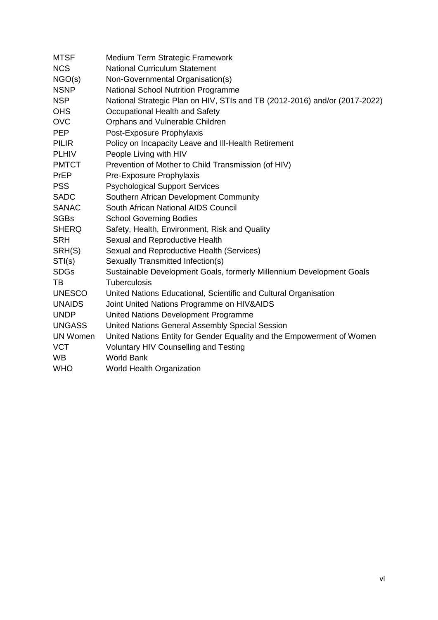| <b>MTSF</b>     | Medium Term Strategic Framework                                            |
|-----------------|----------------------------------------------------------------------------|
| <b>NCS</b>      | <b>National Curriculum Statement</b>                                       |
| NGO(s)          | Non-Governmental Organisation(s)                                           |
| <b>NSNP</b>     | National School Nutrition Programme                                        |
| <b>NSP</b>      | National Strategic Plan on HIV, STIs and TB (2012-2016) and/or (2017-2022) |
| <b>OHS</b>      | Occupational Health and Safety                                             |
| <b>OVC</b>      | Orphans and Vulnerable Children                                            |
| <b>PEP</b>      | Post-Exposure Prophylaxis                                                  |
| <b>PILIR</b>    | Policy on Incapacity Leave and III-Health Retirement                       |
| <b>PLHIV</b>    | People Living with HIV                                                     |
| <b>PMTCT</b>    | Prevention of Mother to Child Transmission (of HIV)                        |
| PrEP            | Pre-Exposure Prophylaxis                                                   |
| <b>PSS</b>      | <b>Psychological Support Services</b>                                      |
| <b>SADC</b>     | Southern African Development Community                                     |
| <b>SANAC</b>    | South African National AIDS Council                                        |
| <b>SGBs</b>     | <b>School Governing Bodies</b>                                             |
| <b>SHERQ</b>    | Safety, Health, Environment, Risk and Quality                              |
| <b>SRH</b>      | Sexual and Reproductive Health                                             |
| SRH(S)          | Sexual and Reproductive Health (Services)                                  |
| STI(s)          | Sexually Transmitted Infection(s)                                          |
| <b>SDGs</b>     | Sustainable Development Goals, formerly Millennium Development Goals       |
| TВ              | <b>Tuberculosis</b>                                                        |
| <b>UNESCO</b>   | United Nations Educational, Scientific and Cultural Organisation           |
| <b>UNAIDS</b>   | Joint United Nations Programme on HIV&AIDS                                 |
| <b>UNDP</b>     | United Nations Development Programme                                       |
| <b>UNGASS</b>   | United Nations General Assembly Special Session                            |
| <b>UN Women</b> | United Nations Entity for Gender Equality and the Empowerment of Women     |
| <b>VCT</b>      | Voluntary HIV Counselling and Testing                                      |
| <b>WB</b>       | <b>World Bank</b>                                                          |
| <b>WHO</b>      | World Health Organization                                                  |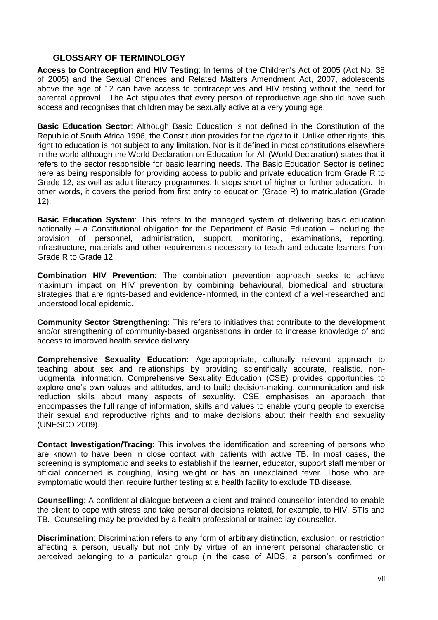# <span id="page-6-0"></span>**GLOSSARY OF TERMINOLOGY**

**Access to Contraception and HIV Testing**: In terms of the Children's Act of 2005 (Act No. 38 of 2005) and the Sexual Offences and Related Matters Amendment Act, 2007, adolescents above the age of 12 can have access to contraceptives and HIV testing without the need for parental approval. The Act stipulates that every person of reproductive age should have such access and recognises that children may be sexually active at a very young age.

**Basic Education Sector**: Although Basic Education is not defined in the Constitution of the Republic of South Africa 1996, the Constitution provides for the *right* to it. Unlike other rights, this right to education is not subject to any limitation. Nor is it defined in most constitutions elsewhere in the world although the World Declaration on Education for All (World Declaration) states that it refers to the sector responsible for basic learning needs. The Basic Education Sector is defined here as being responsible for providing access to public and private education from Grade R to Grade 12, as well as adult literacy programmes. It stops short of higher or further education. In other words, it covers the period from first entry to education (Grade R) to matriculation (Grade 12).

**Basic Education System**: This refers to the managed system of delivering basic education nationally – a Constitutional obligation for the Department of Basic Education – including the provision of personnel, administration, support, monitoring, examinations, reporting, infrastructure, materials and other requirements necessary to teach and educate learners from Grade R to Grade 12.

**Combination HIV Prevention**: The combination prevention approach seeks to achieve maximum impact on HIV prevention by combining behavioural, biomedical and structural strategies that are rights-based and evidence-informed, in the context of a well-researched and understood local epidemic.

**Community Sector Strengthening**: This refers to initiatives that contribute to the development and/or strengthening of community-based organisations in order to increase knowledge of and access to improved health service delivery.

**Comprehensive Sexuality Education:** Age-appropriate, culturally relevant approach to teaching about sex and relationships by providing scientifically accurate, realistic, noniudamental information. Comprehensive Sexuality Education (CSE) provides opportunities to explore one's own values and attitudes, and to build decision-making, communication and risk reduction skills about many aspects of sexuality. CSE emphasises an approach that encompasses the full range of information, skills and values to enable young people to exercise their sexual and reproductive rights and to make decisions about their health and sexuality (UNESCO 2009).

**Contact Investigation/Tracing**: This involves the identification and screening of persons who are known to have been in close contact with patients with active TB. In most cases, the screening is symptomatic and seeks to establish if the learner, educator, support staff member or official concerned is coughing, losing weight or has an unexplained fever. Those who are symptomatic would then require further testing at a health facility to exclude TB disease.

**Counselling**: A confidential dialogue between a client and trained counsellor intended to enable the client to cope with stress and take personal decisions related, for example, to HIV, STIs and TB. Counselling may be provided by a health professional or trained lay counsellor.

**Discrimination**: Discrimination refers to any form of arbitrary distinction, exclusion, or restriction affecting a person, usually but not only by virtue of an inherent personal characteristic or perceived belonging to a particular group (in the case of AIDS, a person's confirmed or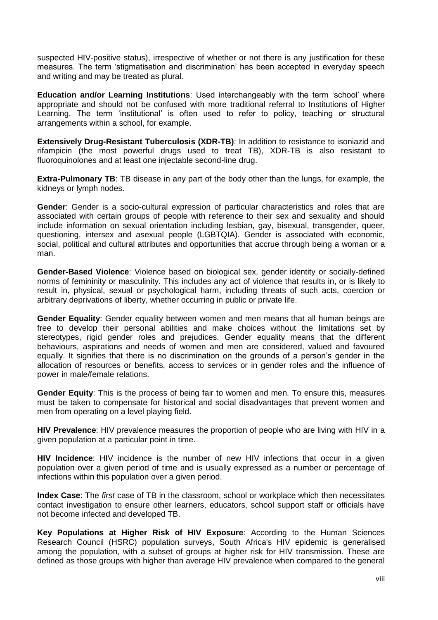suspected HIV-positive status), irrespective of whether or not there is any justification for these measures. The term 'stigmatisation and discrimination' has been accepted in everyday speech and writing and may be treated as plural.

**Education and/or Learning Institutions**: Used interchangeably with the term 'school' where appropriate and should not be confused with more traditional referral to Institutions of Higher Learning. The term 'institutional' is often used to refer to policy, teaching or structural arrangements within a school, for example.

**Extensively Drug-Resistant Tuberculosis (XDR-TB):** In addition to resistance to isoniazid and rifampicin (the most powerful drugs used to treat TB), XDR-TB is also resistant to fluoroquinolones and at least one injectable second-line drug.

**Extra-Pulmonary TB:** TB disease in any part of the body other than the lungs, for example, the kidneys or lymph nodes.

**Gender**: Gender is a socio-cultural expression of particular characteristics and roles that are associated with certain groups of people with reference to their sex and sexuality and should include information on sexual orientation including lesbian, gay, bisexual, transgender, queer, questioning, intersex and asexual people (LGBTQIA). Gender is associated with economic, social, political and cultural attributes and opportunities that accrue through being a woman or a man.

**Gender-Based Violence**: Violence based on biological sex, gender identity or socially-defined norms of femininity or masculinity. This includes any act of violence that results in, or is likely to result in, physical, sexual or psychological harm, including threats of such acts, coercion or arbitrary deprivations of liberty, whether occurring in public or private life.

**Gender Equality**: Gender equality between women and men means that all human beings are free to develop their personal abilities and make choices without the limitations set by stereotypes, rigid gender roles and prejudices. Gender equality means that the different behaviours, aspirations and needs of women and men are considered, valued and favoured equally. It signifies that there is no discrimination on the grounds of a person's gender in the allocation of resources or benefits, access to services or in gender roles and the influence of power in male/female relations.

**Gender Equity**: This is the process of being fair to women and men. To ensure this, measures must be taken to compensate for historical and social disadvantages that prevent women and men from operating on a level playing field.

**HIV Prevalence**: HIV prevalence measures the proportion of people who are living with HIV in a given population at a particular point in time.

**HIV Incidence**: HIV incidence is the number of new HIV infections that occur in a given population over a given period of time and is usually expressed as a number or percentage of infections within this population over a given period.

**Index Case**: The *first* case of TB in the classroom, school or workplace which then necessitates contact investigation to ensure other learners, educators, school support staff or officials have not become infected and developed TB.

**Key Populations at Higher Risk of HIV Exposure**: According to the Human Sciences Research Council (HSRC) population surveys, South Africa's HIV epidemic is generalised among the population, with a subset of groups at higher risk for HIV transmission. These are defined as those groups with higher than average HIV prevalence when compared to the general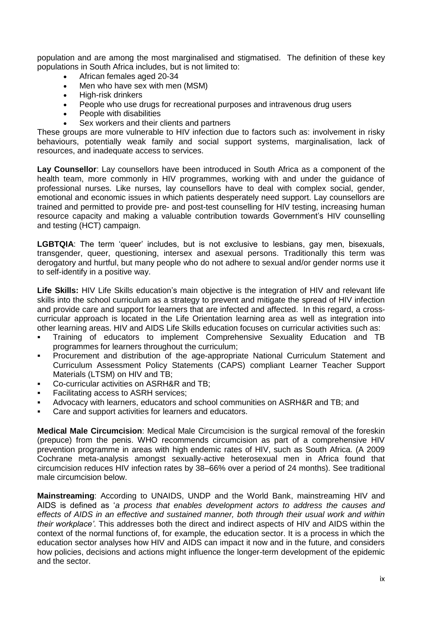population and are among the most marginalised and stigmatised. The definition of these key populations in South Africa includes, but is not limited to:

- African females aged 20-34
- Men who have sex with men (MSM)
- High-risk drinkers
- People who use drugs for recreational purposes and intravenous drug users
- People with disabilities
- Sex workers and their clients and partners

These groups are more vulnerable to HIV infection due to factors such as: involvement in risky behaviours, potentially weak family and social support systems, marginalisation, lack of resources, and inadequate access to services.

**Lay Counsellor**: Lay counsellors have been introduced in South Africa as a component of the health team, more commonly in HIV programmes, working with and under the guidance of professional nurses. Like nurses, lay counsellors have to deal with complex social, gender, emotional and economic issues in which patients desperately need support. Lay counsellors are trained and permitted to provide pre- and post-test counselling for HIV testing, increasing human resource capacity and making a valuable contribution towards Government's HIV counselling and testing (HCT) campaign.

**LGBTQIA**: The term 'queer' includes, but is not exclusive to lesbians, gay men, bisexuals, transgender, queer, questioning, intersex and asexual persons. Traditionally this term was derogatory and hurtful, but many people who do not adhere to sexual and/or gender norms use it to self-identify in a positive way.

Life Skills: HIV Life Skills education's main objective is the integration of HIV and relevant life skills into the school curriculum as a strategy to prevent and mitigate the spread of HIV infection and provide care and support for learners that are infected and affected. In this regard, a crosscurricular approach is located in the Life Orientation learning area as well as integration into other learning areas. HIV and AIDS Life Skills education focuses on curricular activities such as:

- Training of educators to implement Comprehensive Sexuality Education and TB programmes for learners throughout the curriculum;
- Procurement and distribution of the age-appropriate National Curriculum Statement and Curriculum Assessment Policy Statements (CAPS) compliant Learner Teacher Support Materials (LTSM) on HIV and TB;
- Co-curricular activities on ASRH&R and TB;
- Facilitating access to ASRH services;
- Advocacy with learners, educators and school communities on ASRH&R and TB; and
- Care and support activities for learners and educators.

**Medical Male Circumcision**: Medical Male Circumcision is the surgical removal of the foreskin (prepuce) from the penis. WHO recommends circumcision as part of a comprehensive HIV prevention programme in areas with high endemic rates of HIV, such as South Africa. (A 2009 Cochrane meta-analysis amongst sexually-active heterosexual men in Africa found that circumcision reduces HIV infection rates by 38–66% over a period of 24 months). See traditional male circumcision below.

**Mainstreaming**: According to UNAIDS, UNDP and the World Bank, mainstreaming HIV and AIDS is defined as '*a process that enables development actors to address the causes and effects of AIDS in an effective and sustained manner, both through their usual work and within their workplace'*. This addresses both the direct and indirect aspects of HIV and AIDS within the context of the normal functions of, for example, the education sector. It is a process in which the education sector analyses how HIV and AIDS can impact it now and in the future, and considers how policies, decisions and actions might influence the longer-term development of the epidemic and the sector.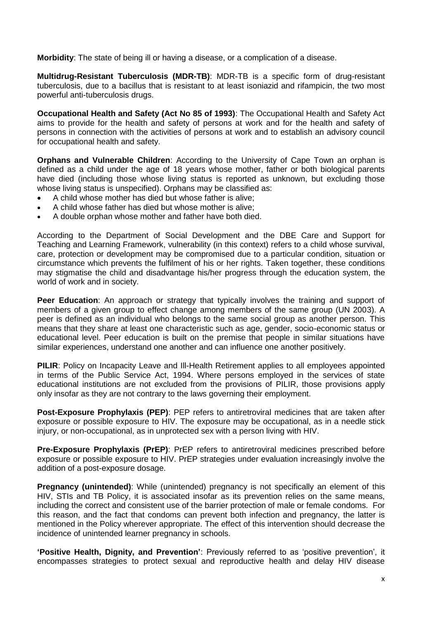**Morbidity**: The state of being ill or having a disease, or a complication of a disease.

**Multidrug-Resistant Tuberculosis (MDR-TB)**: MDR-TB is a specific form of drug-resistant tuberculosis, due to a bacillus that is resistant to at least isoniazid and rifampicin, the two most powerful anti-tuberculosis drugs.

**Occupational Health and Safety (Act No 85 of 1993)**: The Occupational Health and Safety Act aims to provide for the health and safety of persons at work and for the health and safety of persons in connection with the activities of persons at work and to establish an advisory council for occupational health and safety.

**Orphans and Vulnerable Children**: According to the University of Cape Town an orphan is defined as a child under the age of 18 years whose mother, father or both biological parents have died (including those whose living status is reported as unknown, but excluding those whose living status is unspecified). Orphans may be classified as:

- A child whose mother has died but whose father is alive;
- A child whose father has died but whose mother is alive;
- A double orphan whose mother and father have both died.

According to the Department of Social Development and the DBE Care and Support for Teaching and Learning Framework, vulnerability (in this context) refers to a child whose survival, care, protection or development may be compromised due to a particular condition, situation or circumstance which prevents the fulfilment of his or her rights. Taken together, these conditions may stigmatise the child and disadvantage his/her progress through the education system, the world of work and in society.

Peer Education: An approach or strategy that typically involves the training and support of members of a given group to effect change among members of the same group (UN 2003). A peer is defined as an individual who belongs to the same social group as another person. This means that they share at least one characteristic such as age, gender, socio-economic status or educational level. Peer education is built on the premise that people in similar situations have similar experiences, understand one another and can influence one another positively.

**PILIR**: Policy on Incapacity Leave and Ill-Health Retirement applies to all employees appointed in terms of the Public Service Act, 1994. Where persons employed in the services of state educational institutions are not excluded from the provisions of PILIR, those provisions apply only insofar as they are not contrary to the laws governing their employment.

**Post-Exposure Prophylaxis (PEP)**: PEP refers to antiretroviral medicines that are taken after exposure or possible exposure to HIV. The exposure may be occupational, as in a needle stick injury, or non-occupational, as in unprotected sex with a person living with HIV.

**Pre-Exposure Prophylaxis (PrEP)**: PrEP refers to antiretroviral medicines prescribed before exposure or possible exposure to HIV. PrEP strategies under evaluation increasingly involve the addition of a post-exposure dosage.

**Pregnancy (unintended)**: While (unintended) pregnancy is not specifically an element of this HIV, STIs and TB Policy, it is associated insofar as its prevention relies on the same means, including the correct and consistent use of the barrier protection of male or female condoms. For this reason, and the fact that condoms can prevent both infection and pregnancy, the latter is mentioned in the Policy wherever appropriate. The effect of this intervention should decrease the incidence of unintended learner pregnancy in schools.

**'Positive Health, Dignity, and Prevention'**: Previously referred to as 'positive prevention', it encompasses strategies to protect sexual and reproductive health and delay HIV disease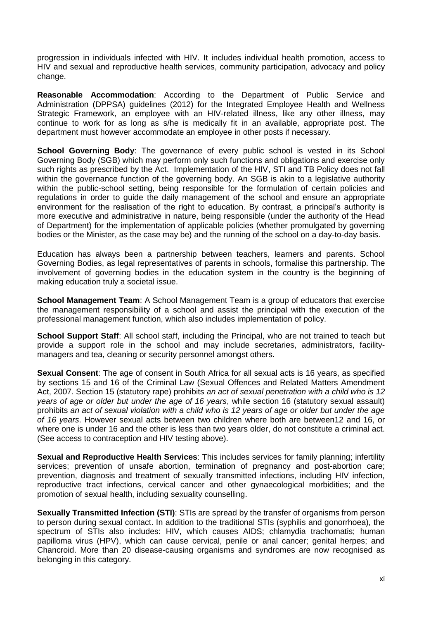progression in individuals infected with HIV. It includes individual health promotion, access to HIV and sexual and reproductive health services, community participation, advocacy and policy change.

**Reasonable Accommodation**: According to the Department of Public Service and Administration (DPPSA) guidelines (2012) for the Integrated Employee Health and Wellness Strategic Framework, an employee with an HIV-related illness, like any other illness, may continue to work for as long as s/he is medically fit in an available, appropriate post. The department must however accommodate an employee in other posts if necessary.

**School Governing Body:** The governance of every public school is vested in its School Governing Body (SGB) which may perform only such functions and obligations and exercise only such rights as prescribed by the Act. Implementation of the HIV, STI and TB Policy does not fall within the governance function of the governing body. An SGB is akin to a legislative authority within the public-school setting, being responsible for the formulation of certain policies and regulations in order to guide the daily management of the school and ensure an appropriate environment for the realisation of the right to education. By contrast, a principal's authority is more executive and administrative in nature, being responsible (under the authority of the Head of Department) for the implementation of applicable policies (whether promulgated by governing bodies or the Minister, as the case may be) and the running of the school on a day-to-day basis.

Education has always been a partnership between teachers, learners and parents. School Governing Bodies, as legal representatives of parents in schools, formalise this partnership. The involvement of governing bodies in the education system in the country is the beginning of making education truly a societal issue.

**School Management Team**: A School Management Team is a group of educators that exercise the management responsibility of a school and assist the principal with the execution of the professional management function, which also includes implementation of policy.

**School Support Staff:** All school staff, including the Principal, who are not trained to teach but provide a support role in the school and may include secretaries, administrators, facilitymanagers and tea, cleaning or security personnel amongst others.

**Sexual Consent**: The age of consent in South Africa for all sexual acts is 16 years, as specified by sections 15 and 16 of the Criminal Law (Sexual Offences and Related Matters Amendment Act, 2007. Section 15 (statutory rape) prohibits *an act of sexual penetration with a child who is 12 years of age or older but under the age of 16 years*, while section 16 (statutory sexual assault) prohibits *an act of sexual violation with a child who is 12 years of age or older but under the age of 16 years*. However sexual acts between two children where both are between12 and 16, or where one is under 16 and the other is less than two years older, do not constitute a criminal act. (See access to contraception and HIV testing above).

**Sexual and Reproductive Health Services**: This includes services for family planning; infertility services; prevention of unsafe abortion, termination of pregnancy and post-abortion care; prevention, diagnosis and treatment of sexually transmitted infections, including HIV infection, reproductive tract infections, cervical cancer and other gynaecological morbidities; and the promotion of sexual health, including sexuality counselling.

**Sexually Transmitted Infection (STI)**: STIs are spread by the transfer of organisms from person to person during sexual contact. In addition to the traditional STIs (syphilis and gonorrhoea), the spectrum of STIs also includes: HIV, which causes AIDS; chlamydia trachomatis; human papilloma virus (HPV), which can cause cervical, penile or anal cancer; genital herpes; and Chancroid. More than 20 disease-causing organisms and syndromes are now recognised as belonging in this category.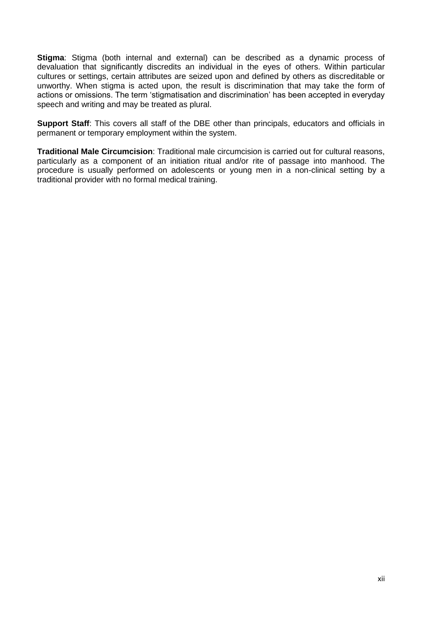**Stigma**: Stigma (both internal and external) can be described as a dynamic process of devaluation that significantly discredits an individual in the eyes of others. Within particular cultures or settings, certain attributes are seized upon and defined by others as discreditable or unworthy. When stigma is acted upon, the result is discrimination that may take the form of actions or omissions. The term 'stigmatisation and discrimination' has been accepted in everyday speech and writing and may be treated as plural.

**Support Staff**: This covers all staff of the DBE other than principals, educators and officials in permanent or temporary employment within the system.

**Traditional Male Circumcision**: Traditional male circumcision is carried out for cultural reasons, particularly as a component of an initiation ritual and/or rite of passage into manhood. The procedure is usually performed on adolescents or young men in a non-clinical setting by a traditional provider with no formal medical training.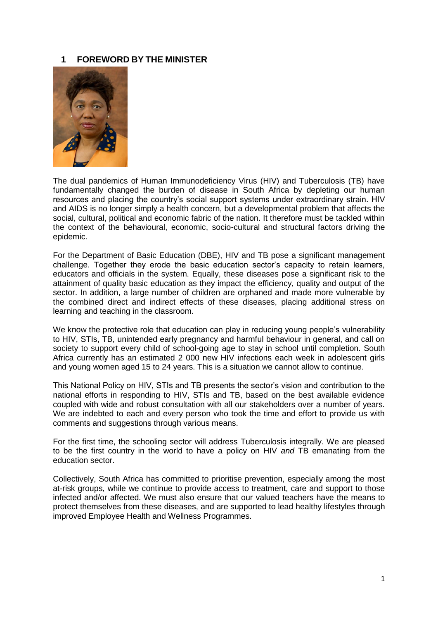#### <span id="page-12-0"></span>**1 FOREWORD BY THE MINISTER**



The dual pandemics of Human Immunodeficiency Virus (HIV) and Tuberculosis (TB) have fundamentally changed the burden of disease in South Africa by depleting our human resources and placing the country's social support systems under extraordinary strain. HIV and AIDS is no longer simply a health concern, but a developmental problem that affects the social, cultural, political and economic fabric of the nation. It therefore must be tackled within the context of the behavioural, economic, socio-cultural and structural factors driving the epidemic.

For the Department of Basic Education (DBE), HIV and TB pose a significant management challenge. Together they erode the basic education sector's capacity to retain learners, educators and officials in the system. Equally, these diseases pose a significant risk to the attainment of quality basic education as they impact the efficiency, quality and output of the sector. In addition, a large number of children are orphaned and made more vulnerable by the combined direct and indirect effects of these diseases, placing additional stress on learning and teaching in the classroom.

We know the protective role that education can play in reducing young people's vulnerability to HIV, STIs, TB, unintended early pregnancy and harmful behaviour in general, and call on society to support every child of school-going age to stay in school until completion. South Africa currently has an estimated 2 000 new HIV infections each week in adolescent girls and young women aged 15 to 24 years. This is a situation we cannot allow to continue.

This National Policy on HIV, STIs and TB presents the sector's vision and contribution to the national efforts in responding to HIV, STIs and TB, based on the best available evidence coupled with wide and robust consultation with all our stakeholders over a number of years. We are indebted to each and every person who took the time and effort to provide us with comments and suggestions through various means.

For the first time, the schooling sector will address Tuberculosis integrally. We are pleased to be the first country in the world to have a policy on HIV *and* TB emanating from the education sector.

Collectively, South Africa has committed to prioritise prevention, especially among the most at-risk groups, while we continue to provide access to treatment, care and support to those infected and/or affected. We must also ensure that our valued teachers have the means to protect themselves from these diseases, and are supported to lead healthy lifestyles through improved Employee Health and Wellness Programmes.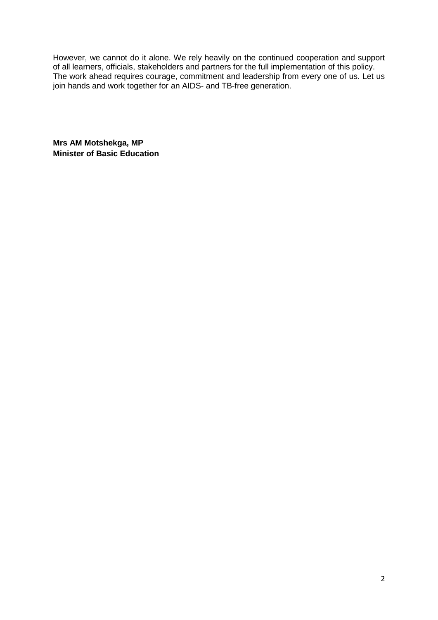However, we cannot do it alone. We rely heavily on the continued cooperation and support of all learners, officials, stakeholders and partners for the full implementation of this policy. The work ahead requires courage, commitment and leadership from every one of us. Let us join hands and work together for an AIDS- and TB-free generation.

**Mrs AM Motshekga, MP Minister of Basic Education**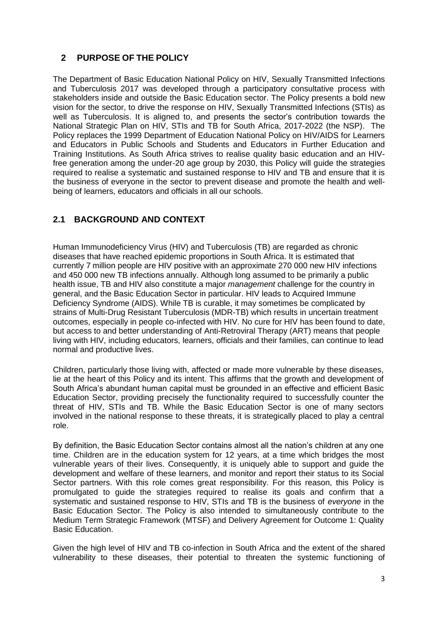# <span id="page-14-0"></span>**2 PURPOSE OF THE POLICY**

The Department of Basic Education National Policy on HIV, Sexually Transmitted Infections and Tuberculosis 2017 was developed through a participatory consultative process with stakeholders inside and outside the Basic Education sector. The Policy presents a bold new vision for the sector, to drive the response on HIV, Sexually Transmitted Infections (STIs) as well as Tuberculosis. It is aligned to, and presents the sector's contribution towards the National Strategic Plan on HIV, STIs and TB for South Africa, 2017-2022 (the NSP). The Policy replaces the 1999 Department of Education National Policy on HIV/AIDS for Learners and Educators in Public Schools and Students and Educators in Further Education and Training Institutions. As South Africa strives to realise quality basic education and an HIVfree generation among the under-20 age group by 2030, this Policy will guide the strategies required to realise a systematic and sustained response to HIV and TB and ensure that it is the business of everyone in the sector to prevent disease and promote the health and wellbeing of learners, educators and officials in all our schools.

# <span id="page-14-1"></span>**2.1 BACKGROUND AND CONTEXT**

Human Immunodeficiency Virus (HIV) and Tuberculosis (TB) are regarded as chronic diseases that have reached epidemic proportions in South Africa. It is estimated that currently 7 million people are HIV positive with an approximate 270 000 new HIV infections and 450 000 new TB infections annually. Although long assumed to be primarily a public health issue, TB and HIV also constitute a major *management* challenge for the country in general, and the Basic Education Sector in particular. HIV leads to Acquired Immune Deficiency Syndrome (AIDS). While TB is curable, it may sometimes be complicated by strains of Multi-Drug Resistant Tuberculosis (MDR-TB) which results in uncertain treatment outcomes, especially in people co-infected with HIV. No cure for HIV has been found to date, but access to and better understanding of Anti-Retroviral Therapy (ART) means that people living with HIV, including educators, learners, officials and their families, can continue to lead normal and productive lives.

Children, particularly those living with, affected or made more vulnerable by these diseases, lie at the heart of this Policy and its intent. This affirms that the growth and development of South Africa's abundant human capital must be grounded in an effective and efficient Basic Education Sector, providing precisely the functionality required to successfully counter the threat of HIV, STIs and TB. While the Basic Education Sector is one of many sectors involved in the national response to these threats, it is strategically placed to play a central role.

By definition, the Basic Education Sector contains almost all the nation's children at any one time. Children are in the education system for 12 years, at a time which bridges the most vulnerable years of their lives. Consequently, it is uniquely able to support and guide the development and welfare of these learners, and monitor and report their status to its Social Sector partners. With this role comes great responsibility. For this reason, this Policy is promulgated to guide the strategies required to realise its goals and confirm that a systematic and sustained response to HIV, STIs and TB is the business of *everyone* in the Basic Education Sector. The Policy is also intended to simultaneously contribute to the Medium Term Strategic Framework (MTSF) and Delivery Agreement for Outcome 1: Quality Basic Education.

Given the high level of HIV and TB co-infection in South Africa and the extent of the shared vulnerability to these diseases, their potential to threaten the systemic functioning of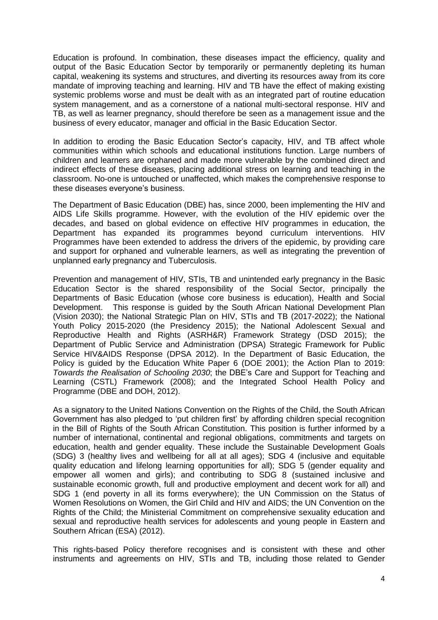Education is profound. In combination, these diseases impact the efficiency, quality and output of the Basic Education Sector by temporarily or permanently depleting its human capital, weakening its systems and structures, and diverting its resources away from its core mandate of improving teaching and learning. HIV and TB have the effect of making existing systemic problems worse and must be dealt with as an integrated part of routine education system management, and as a cornerstone of a national multi-sectoral response. HIV and TB, as well as learner pregnancy, should therefore be seen as a management issue and the business of every educator, manager and official in the Basic Education Sector.

In addition to eroding the Basic Education Sector's capacity, HIV, and TB affect whole communities within which schools and educational institutions function. Large numbers of children and learners are orphaned and made more vulnerable by the combined direct and indirect effects of these diseases, placing additional stress on learning and teaching in the classroom. No-one is untouched or unaffected, which makes the comprehensive response to these diseases everyone's business.

The Department of Basic Education (DBE) has, since 2000, been implementing the HIV and AIDS Life Skills programme. However, with the evolution of the HIV epidemic over the decades, and based on global evidence on effective HIV programmes in education, the Department has expanded its programmes beyond curriculum interventions. HIV Programmes have been extended to address the drivers of the epidemic, by providing care and support for orphaned and vulnerable learners, as well as integrating the prevention of unplanned early pregnancy and Tuberculosis.

Prevention and management of HIV, STIs, TB and unintended early pregnancy in the Basic Education Sector is the shared responsibility of the Social Sector, principally the Departments of Basic Education (whose core business is education), Health and Social Development. This response is guided by the South African National Development Plan (Vision 2030); the National Strategic Plan on HIV, STIs and TB (2017-2022); the National Youth Policy 2015-2020 (the Presidency 2015); the National Adolescent Sexual and Reproductive Health and Rights (ASRH&R) Framework Strategy (DSD 2015); the Department of Public Service and Administration (DPSA) Strategic Framework for Public Service HIV&AIDS Response (DPSA 2012). In the Department of Basic Education, the Policy is guided by the Education White Paper 6 (DOE 2001); the Action Plan to 2019: *Towards the Realisation of Schooling 2030*; the DBE's Care and Support for Teaching and Learning (CSTL) Framework (2008); and the Integrated School Health Policy and Programme (DBE and DOH, 2012).

As a signatory to the United Nations Convention on the Rights of the Child, the South African Government has also pledged to 'put children first' by affording children special recognition in the Bill of Rights of the South African Constitution. This position is further informed by a number of international, continental and regional obligations, commitments and targets on education, health and gender equality. These include the Sustainable Development Goals (SDG) 3 (healthy lives and wellbeing for all at all ages); SDG 4 (inclusive and equitable quality education and lifelong learning opportunities for all); SDG 5 (gender equality and empower all women and girls); and contributing to SDG 8 (sustained inclusive and sustainable economic growth, full and productive employment and decent work for all) and SDG 1 (end poverty in all its forms everywhere); the UN Commission on the Status of Women Resolutions on Women, the Girl Child and HIV and AIDS; the UN Convention on the Rights of the Child; the Ministerial Commitment on comprehensive sexuality education and sexual and reproductive health services for adolescents and young people in Eastern and Southern African (ESA) (2012).

This rights-based Policy therefore recognises and is consistent with these and other instruments and agreements on HIV, STIs and TB, including those related to Gender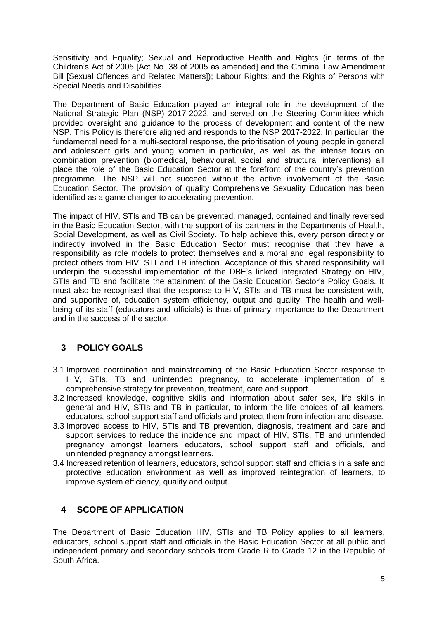Sensitivity and Equality; Sexual and Reproductive Health and Rights (in terms of the Children's Act of 2005 [Act No. 38 of 2005 as amended] and the Criminal Law Amendment Bill [Sexual Offences and Related Matters]); Labour Rights; and the Rights of Persons with Special Needs and Disabilities.

The Department of Basic Education played an integral role in the development of the National Strategic Plan (NSP) 2017-2022, and served on the Steering Committee which provided oversight and guidance to the process of development and content of the new NSP. This Policy is therefore aligned and responds to the NSP 2017-2022. In particular, the fundamental need for a multi-sectoral response, the prioritisation of young people in general and adolescent girls and young women in particular, as well as the intense focus on combination prevention (biomedical, behavioural, social and structural interventions) all place the role of the Basic Education Sector at the forefront of the country's prevention programme. The NSP will not succeed without the active involvement of the Basic Education Sector. The provision of quality Comprehensive Sexuality Education has been identified as a game changer to accelerating prevention.

The impact of HIV, STIs and TB can be prevented, managed, contained and finally reversed in the Basic Education Sector, with the support of its partners in the Departments of Health, Social Development, as well as Civil Society. To help achieve this, every person directly or indirectly involved in the Basic Education Sector must recognise that they have a responsibility as role models to protect themselves and a moral and legal responsibility to protect others from HIV, STI and TB infection. Acceptance of this shared responsibility will underpin the successful implementation of the DBE's linked Integrated Strategy on HIV, STIs and TB and facilitate the attainment of the Basic Education Sector's Policy Goals. It must also be recognised that the response to HIV, STIs and TB must be consistent with, and supportive of, education system efficiency, output and quality. The health and wellbeing of its staff (educators and officials) is thus of primary importance to the Department and in the success of the sector.

# <span id="page-16-0"></span>**3 POLICY GOALS**

- 3.1 Improved coordination and mainstreaming of the Basic Education Sector response to HIV, STIs, TB and unintended pregnancy, to accelerate implementation of a comprehensive strategy for prevention, treatment, care and support.
- 3.2 Increased knowledge, cognitive skills and information about safer sex, life skills in general and HIV, STIs and TB in particular, to inform the life choices of all learners, educators, school support staff and officials and protect them from infection and disease.
- 3.3 Improved access to HIV, STIs and TB prevention, diagnosis, treatment and care and support services to reduce the incidence and impact of HIV, STIs, TB and unintended pregnancy amongst learners educators, school support staff and officials, and unintended pregnancy amongst learners.
- 3.4 Increased retention of learners, educators, school support staff and officials in a safe and protective education environment as well as improved reintegration of learners, to improve system efficiency, quality and output.

# <span id="page-16-1"></span>**4 SCOPE OF APPLICATION**

The Department of Basic Education HIV, STIs and TB Policy applies to all learners, educators, school support staff and officials in the Basic Education Sector at all public and independent primary and secondary schools from Grade R to Grade 12 in the Republic of South Africa.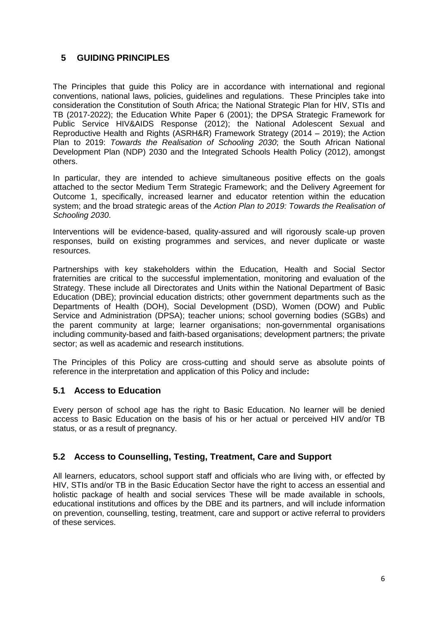# <span id="page-17-0"></span>**5 GUIDING PRINCIPLES**

The Principles that guide this Policy are in accordance with international and regional conventions, national laws, policies, guidelines and regulations. These Principles take into consideration the Constitution of South Africa; the National Strategic Plan for HIV, STIs and TB (2017-2022); the Education White Paper 6 (2001); the DPSA Strategic Framework for Public Service HIV&AIDS Response (2012); the National Adolescent Sexual and Reproductive Health and Rights (ASRH&R) Framework Strategy (2014 – 2019); the Action Plan to 2019: *Towards the Realisation of Schooling 2030*; the South African National Development Plan (NDP) 2030 and the Integrated Schools Health Policy (2012), amongst others.

In particular, they are intended to achieve simultaneous positive effects on the goals attached to the sector Medium Term Strategic Framework; and the Delivery Agreement for Outcome 1, specifically, increased learner and educator retention within the education system; and the broad strategic areas of the *Action Plan to 2019: Towards the Realisation of Schooling 2030*.

Interventions will be evidence-based, quality-assured and will rigorously scale-up proven responses, build on existing programmes and services, and never duplicate or waste resources.

Partnerships with key stakeholders within the Education, Health and Social Sector fraternities are critical to the successful implementation, monitoring and evaluation of the Strategy. These include all Directorates and Units within the National Department of Basic Education (DBE); provincial education districts; other government departments such as the Departments of Health (DOH), Social Development (DSD), Women (DOW) and Public Service and Administration (DPSA); teacher unions; school governing bodies (SGBs) and the parent community at large; learner organisations; non-governmental organisations including community-based and faith-based organisations; development partners; the private sector; as well as academic and research institutions.

The Principles of this Policy are cross-cutting and should serve as absolute points of reference in the interpretation and application of this Policy and include**:**

# <span id="page-17-1"></span>**5.1 Access to Education**

Every person of school age has the right to Basic Education. No learner will be denied access to Basic Education on the basis of his or her actual or perceived HIV and/or TB status, or as a result of pregnancy.

# <span id="page-17-2"></span>**5.2 Access to Counselling, Testing, Treatment, Care and Support**

All learners, educators, school support staff and officials who are living with, or effected by HIV, STIs and/or TB in the Basic Education Sector have the right to access an essential and holistic package of health and social services These will be made available in schools, educational institutions and offices by the DBE and its partners, and will include information on prevention, counselling, testing, treatment, care and support or active referral to providers of these services.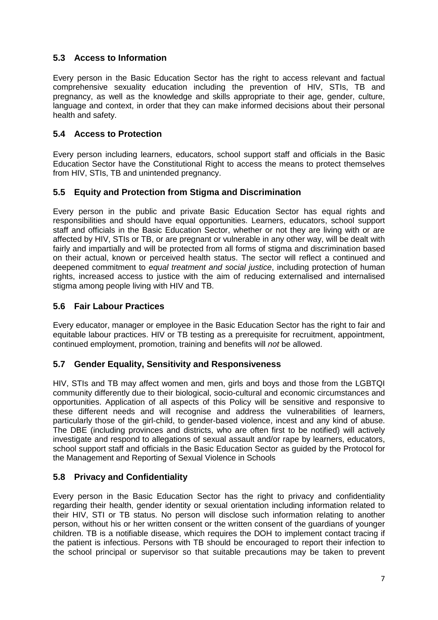# <span id="page-18-0"></span>**5.3 Access to Information**

Every person in the Basic Education Sector has the right to access relevant and factual comprehensive sexuality education including the prevention of HIV, STIs, TB and pregnancy, as well as the knowledge and skills appropriate to their age, gender, culture, language and context, in order that they can make informed decisions about their personal health and safety.

# <span id="page-18-1"></span>**5.4 Access to Protection**

Every person including learners, educators, school support staff and officials in the Basic Education Sector have the Constitutional Right to access the means to protect themselves from HIV, STIs, TB and unintended pregnancy.

# <span id="page-18-2"></span>**5.5 Equity and Protection from Stigma and Discrimination**

Every person in the public and private Basic Education Sector has equal rights and responsibilities and should have equal opportunities. Learners, educators, school support staff and officials in the Basic Education Sector, whether or not they are living with or are affected by HIV, STIs or TB, or are pregnant or vulnerable in any other way, will be dealt with fairly and impartially and will be protected from all forms of stigma and discrimination based on their actual, known or perceived health status. The sector will reflect a continued and deepened commitment to *equal treatment and social justice*, including protection of human rights, increased access to justice with the aim of reducing externalised and internalised stigma among people living with HIV and TB.

# <span id="page-18-3"></span>**5.6 Fair Labour Practices**

Every educator, manager or employee in the Basic Education Sector has the right to fair and equitable labour practices. HIV or TB testing as a prerequisite for recruitment, appointment, continued employment, promotion, training and benefits will *not* be allowed.

# <span id="page-18-4"></span>**5.7 Gender Equality, Sensitivity and Responsiveness**

HIV, STIs and TB may affect women and men, girls and boys and those from the LGBTQI community differently due to their biological, socio-cultural and economic circumstances and opportunities. Application of all aspects of this Policy will be sensitive and responsive to these different needs and will recognise and address the vulnerabilities of learners, particularly those of the girl-child, to gender-based violence, incest and any kind of abuse. The DBE (including provinces and districts, who are often first to be notified) will actively investigate and respond to allegations of sexual assault and/or rape by learners, educators, school support staff and officials in the Basic Education Sector as guided by the Protocol for the Management and Reporting of Sexual Violence in Schools

# <span id="page-18-5"></span>**5.8 Privacy and Confidentiality**

Every person in the Basic Education Sector has the right to privacy and confidentiality regarding their health, gender identity or sexual orientation including information related to their HIV, STI or TB status. No person will disclose such information relating to another person, without his or her written consent or the written consent of the guardians of younger children. TB is a notifiable disease, which requires the DOH to implement contact tracing if the patient is infectious. Persons with TB should be encouraged to report their infection to the school principal or supervisor so that suitable precautions may be taken to prevent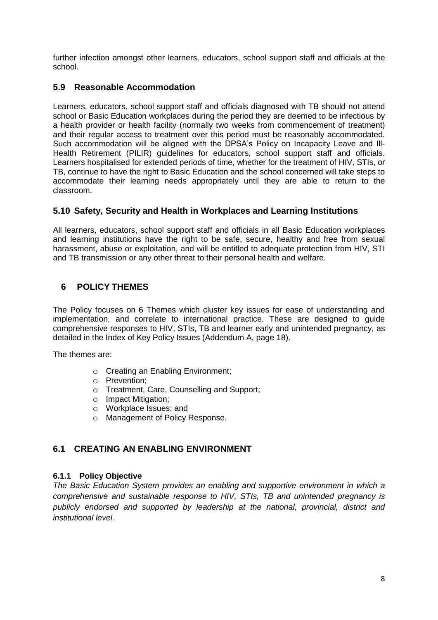further infection amongst other learners, educators, school support staff and officials at the school.

# <span id="page-19-0"></span>**5.9 Reasonable Accommodation**

Learners, educators, school support staff and officials diagnosed with TB should not attend school or Basic Education workplaces during the period they are deemed to be infectious by a health provider or health facility (normally two weeks from commencement of treatment) and their regular access to treatment over this period must be reasonably accommodated. Such accommodation will be aligned with the DPSA's Policy on Incapacity Leave and Ill-Health Retirement (PILIR) guidelines for educators, school support staff and officials. Learners hospitalised for extended periods of time, whether for the treatment of HIV, STIs, or TB, continue to have the right to Basic Education and the school concerned will take steps to accommodate their learning needs appropriately until they are able to return to the classroom.

# <span id="page-19-1"></span>**5.10 Safety, Security and Health in Workplaces and Learning Institutions**

All learners, educators, school support staff and officials in all Basic Education workplaces and learning institutions have the right to be safe, secure, healthy and free from sexual harassment, abuse or exploitation, and will be entitled to adequate protection from HIV, STI and TB transmission or any other threat to their personal health and welfare.

# <span id="page-19-2"></span>**6 POLICY THEMES**

The Policy focuses on 6 Themes which cluster key issues for ease of understanding and implementation, and correlate to international practice. These are designed to guide comprehensive responses to HIV, STIs, TB and learner early and unintended pregnancy, as detailed in the Index of Key Policy Issues (Addendum A, page 18).

The themes are:

- o Creating an Enabling Environment;
- o Prevention;
- o Treatment, Care, Counselling and Support;
- o Impact Mitigation;
- o Workplace Issues; and
- o Management of Policy Response.

# <span id="page-19-3"></span>**6.1 CREATING AN ENABLING ENVIRONMENT**

# <span id="page-19-4"></span>**6.1.1 Policy Objective**

*The Basic Education System provides an enabling and supportive environment in which a comprehensive and sustainable response to HIV, STIs, TB and unintended pregnancy is publicly endorsed and supported by leadership at the national, provincial, district and institutional level.*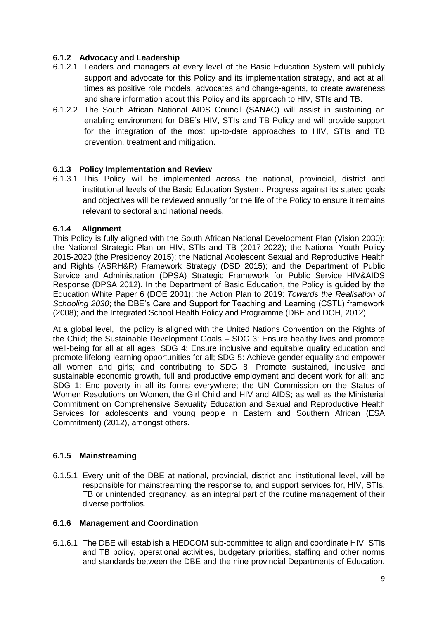# <span id="page-20-0"></span>**6.1.2 Advocacy and Leadership**

- 6.1.2.1 Leaders and managers at every level of the Basic Education System will publicly support and advocate for this Policy and its implementation strategy, and act at all times as positive role models, advocates and change-agents, to create awareness and share information about this Policy and its approach to HIV, STIs and TB.
- 6.1.2.2 The South African National AIDS Council (SANAC) will assist in sustaining an enabling environment for DBE's HIV, STIs and TB Policy and will provide support for the integration of the most up-to-date approaches to HIV, STIs and TB prevention, treatment and mitigation.

# <span id="page-20-1"></span>**6.1.3 Policy Implementation and Review**

6.1.3.1 This Policy will be implemented across the national, provincial, district and institutional levels of the Basic Education System. Progress against its stated goals and objectives will be reviewed annually for the life of the Policy to ensure it remains relevant to sectoral and national needs.

#### <span id="page-20-2"></span>**6.1.4 Alignment**

This Policy is fully aligned with the South African National Development Plan (Vision 2030); the National Strategic Plan on HIV, STIs and TB (2017-2022); the National Youth Policy 2015-2020 (the Presidency 2015); the National Adolescent Sexual and Reproductive Health and Rights (ASRH&R) Framework Strategy (DSD 2015); and the Department of Public Service and Administration (DPSA) Strategic Framework for Public Service HIV&AIDS Response (DPSA 2012). In the Department of Basic Education, the Policy is guided by the Education White Paper 6 (DOE 2001); the Action Plan to 2019: *Towards the Realisation of Schooling 2030*; the DBE's Care and Support for Teaching and Learning (CSTL) framework (2008); and the Integrated School Health Policy and Programme (DBE and DOH, 2012).

At a global level, the policy is aligned with the United Nations Convention on the Rights of the Child; the Sustainable Development Goals – SDG 3: Ensure healthy lives and promote well-being for all at all ages; SDG 4: Ensure inclusive and equitable quality education and promote lifelong learning opportunities for all; SDG 5: Achieve gender equality and empower all women and girls; and contributing to SDG 8: Promote sustained, inclusive and sustainable economic growth, full and productive employment and decent work for all; and SDG 1: End poverty in all its forms everywhere; the UN Commission on the Status of Women Resolutions on Women, the Girl Child and HIV and AIDS; as well as the Ministerial Commitment on Comprehensive Sexuality Education and Sexual and Reproductive Health Services for adolescents and young people in Eastern and Southern African (ESA Commitment) (2012), amongst others.

# <span id="page-20-3"></span>**6.1.5 Mainstreaming**

6.1.5.1 Every unit of the DBE at national, provincial, district and institutional level, will be responsible for mainstreaming the response to, and support services for, HIV, STIs, TB or unintended pregnancy, as an integral part of the routine management of their diverse portfolios.

#### <span id="page-20-4"></span>**6.1.6 Management and Coordination**

6.1.6.1 The DBE will establish a HEDCOM sub-committee to align and coordinate HIV, STIs and TB policy, operational activities, budgetary priorities, staffing and other norms and standards between the DBE and the nine provincial Departments of Education,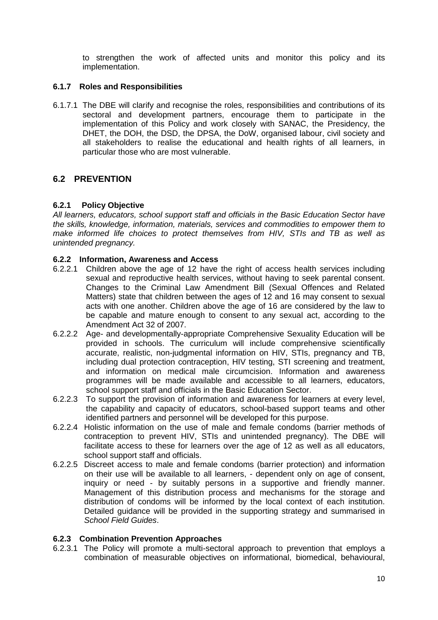to strengthen the work of affected units and monitor this policy and its implementation.

# <span id="page-21-0"></span>**6.1.7 Roles and Responsibilities**

6.1.7.1 The DBE will clarify and recognise the roles, responsibilities and contributions of its sectoral and development partners, encourage them to participate in the implementation of this Policy and work closely with SANAC, the Presidency, the DHET, the DOH, the DSD, the DPSA, the DoW, organised labour, civil society and all stakeholders to realise the educational and health rights of all learners, in particular those who are most vulnerable.

# <span id="page-21-1"></span>**6.2 PREVENTION**

#### <span id="page-21-2"></span>**6.2.1 Policy Objective**

*All learners, educators, school support staff and officials in the Basic Education Sector have the skills, knowledge, information, materials, services and commodities to empower them to make informed life choices to protect themselves from HIV, STIs and TB as well as unintended pregnancy.*

#### <span id="page-21-3"></span>**6.2.2 Information, Awareness and Access**

- 6.2.2.1 Children above the age of 12 have the right of access health services including sexual and reproductive health services, without having to seek parental consent. Changes to the Criminal Law Amendment Bill (Sexual Offences and Related Matters) state that children between the ages of 12 and 16 may consent to sexual acts with one another. Children above the age of 16 are considered by the law to be capable and mature enough to consent to any sexual act, according to the Amendment Act 32 of 2007.
- 6.2.2.2 Age- and developmentally-appropriate Comprehensive Sexuality Education will be provided in schools. The curriculum will include comprehensive scientifically accurate, realistic, non-judgmental information on HIV, STIs, pregnancy and TB, including dual protection contraception, HIV testing, STI screening and treatment, and information on medical male circumcision. Information and awareness programmes will be made available and accessible to all learners, educators, school support staff and officials in the Basic Education Sector.
- 6.2.2.3 To support the provision of information and awareness for learners at every level, the capability and capacity of educators, school-based support teams and other identified partners and personnel will be developed for this purpose.
- 6.2.2.4 Holistic information on the use of male and female condoms (barrier methods of contraception to prevent HIV, STIs and unintended pregnancy). The DBE will facilitate access to these for learners over the age of 12 as well as all educators, school support staff and officials.
- 6.2.2.5 Discreet access to male and female condoms (barrier protection) and information on their use will be available to all learners, - dependent only on age of consent, inquiry or need - by suitably persons in a supportive and friendly manner. Management of this distribution process and mechanisms for the storage and distribution of condoms will be informed by the local context of each institution. Detailed guidance will be provided in the supporting strategy and summarised in *School Field Guides*.

#### <span id="page-21-4"></span>**6.2.3 Combination Prevention Approaches**

6.2.3.1 The Policy will promote a multi-sectoral approach to prevention that employs a combination of measurable objectives on informational, biomedical, behavioural,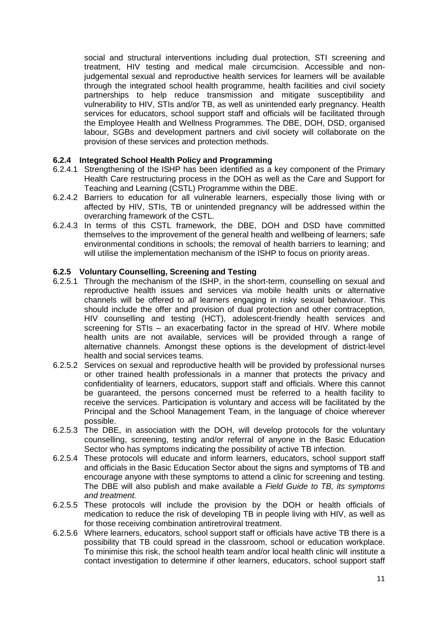social and structural interventions including dual protection, STI screening and treatment, HIV testing and medical male circumcision. Accessible and nonjudgemental sexual and reproductive health services for learners will be available through the integrated school health programme, health facilities and civil society partnerships to help reduce transmission and mitigate susceptibility and vulnerability to HIV, STIs and/or TB, as well as unintended early pregnancy. Health services for educators, school support staff and officials will be facilitated through the Employee Health and Wellness Programmes. The DBE, DOH, DSD, organised labour, SGBs and development partners and civil society will collaborate on the provision of these services and protection methods.

# <span id="page-22-0"></span>**6.2.4 Integrated School Health Policy and Programming**

- 6.2.4.1 Strengthening of the ISHP has been identified as a key component of the Primary Health Care restructuring process in the DOH as well as the Care and Support for Teaching and Learning (CSTL) Programme within the DBE.
- 6.2.4.2 Barriers to education for all vulnerable learners, especially those living with or affected by HIV, STIs, TB or unintended pregnancy will be addressed within the overarching framework of the CSTL.
- 6.2.4.3 In terms of this CSTL framework, the DBE, DOH and DSD have committed themselves to the improvement of the general health and wellbeing of learners; safe environmental conditions in schools; the removal of health barriers to learning; and will utilise the implementation mechanism of the ISHP to focus on priority areas.

#### <span id="page-22-1"></span>**6.2.5 Voluntary Counselling, Screening and Testing**

- 6.2.5.1 Through the mechanism of the ISHP, in the short-term, counselling on sexual and reproductive health issues and services via mobile health units or alternative channels will be offered to *all* learners engaging in risky sexual behaviour. This should include the offer and provision of dual protection and other contraception, HIV counselling and testing (HCT), adolescent-friendly health services and screening for STIs – an exacerbating factor in the spread of HIV. Where mobile health units are not available, services will be provided through a range of alternative channels. Amongst these options is the development of district-level health and social services teams.
- 6.2.5.2 Services on sexual and reproductive health will be provided by professional nurses or other trained health professionals in a manner that protects the privacy and confidentiality of learners, educators, support staff and officials. Where this cannot be guaranteed, the persons concerned must be referred to a health facility to receive the services. Participation is voluntary and access will be facilitated by the Principal and the School Management Team, in the language of choice wherever possible.
- 6.2.5.3 The DBE, in association with the DOH, will develop protocols for the voluntary counselling, screening, testing and/or referral of anyone in the Basic Education Sector who has symptoms indicating the possibility of active TB infection.
- 6.2.5.4 These protocols will educate and inform learners, educators, school support staff and officials in the Basic Education Sector about the signs and symptoms of TB and encourage anyone with these symptoms to attend a clinic for screening and testing. The DBE will also publish and make available a *Field Guide to TB, its symptoms and treatment.*
- 6.2.5.5 These protocols will include the provision by the DOH or health officials of medication to reduce the risk of developing TB in people living with HIV, as well as for those receiving combination antiretroviral treatment.
- 6.2.5.6 Where learners, educators, school support staff or officials have active TB there is a possibility that TB could spread in the classroom, school or education workplace. To minimise this risk, the school health team and/or local health clinic will institute a contact investigation to determine if other learners, educators, school support staff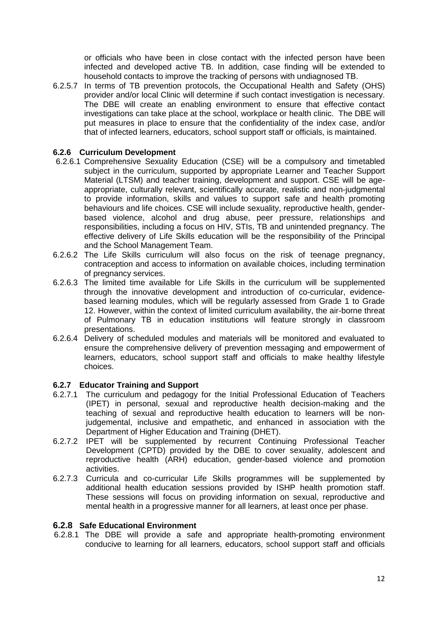or officials who have been in close contact with the infected person have been infected and developed active TB. In addition, case finding will be extended to household contacts to improve the tracking of persons with undiagnosed TB.

6.2.5.7 In terms of TB prevention protocols, the Occupational Health and Safety (OHS) provider and/or local Clinic will determine if such contact investigation is necessary. The DBE will create an enabling environment to ensure that effective contact investigations can take place at the school, workplace or health clinic. The DBE will put measures in place to ensure that the confidentiality of the index case, and/or that of infected learners, educators, school support staff or officials, is maintained.

### <span id="page-23-0"></span>**6.2.6 Curriculum Development**

- 6.2.6.1 Comprehensive Sexuality Education (CSE) will be a compulsory and timetabled subject in the curriculum, supported by appropriate Learner and Teacher Support Material (LTSM) and teacher training, development and support. CSE will be ageappropriate, culturally relevant, scientifically accurate, realistic and non-judgmental to provide information, skills and values to support safe and health promoting behaviours and life choices. CSE will include sexuality, reproductive health, genderbased violence, alcohol and drug abuse, peer pressure, relationships and responsibilities, including a focus on HIV, STIs, TB and unintended pregnancy. The effective delivery of Life Skills education will be the responsibility of the Principal and the School Management Team.
- 6.2.6.2 The Life Skills curriculum will also focus on the risk of teenage pregnancy, contraception and access to information on available choices, including termination of pregnancy services.
- 6.2.6.3 The limited time available for Life Skills in the curriculum will be supplemented through the innovative development and introduction of co-curricular, evidencebased learning modules, which will be regularly assessed from Grade 1 to Grade 12. However, within the context of limited curriculum availability, the air-borne threat of Pulmonary TB in education institutions will feature strongly in classroom presentations.
- 6.2.6.4 Delivery of scheduled modules and materials will be monitored and evaluated to ensure the comprehensive delivery of prevention messaging and empowerment of learners, educators, school support staff and officials to make healthy lifestyle choices.

# <span id="page-23-1"></span>**6.2.7 Educator Training and Support**

- 6.2.7.1 The curriculum and pedagogy for the Initial Professional Education of Teachers (IPET) in personal, sexual and reproductive health decision-making and the teaching of sexual and reproductive health education to learners will be nonjudgemental, inclusive and empathetic, and enhanced in association with the Department of Higher Education and Training (DHET).
- 6.2.7.2 IPET will be supplemented by recurrent Continuing Professional Teacher Development (CPTD) provided by the DBE to cover sexuality, adolescent and reproductive health (ARH) education, gender-based violence and promotion activities.
- 6.2.7.3 Curricula and co-curricular Life Skills programmes will be supplemented by additional health education sessions provided by ISHP health promotion staff. These sessions will focus on providing information on sexual, reproductive and mental health in a progressive manner for all learners, at least once per phase.

#### <span id="page-23-2"></span>**6.2.8 Safe Educational Environment**

6.2.8.1 The DBE will provide a safe and appropriate health-promoting environment conducive to learning for all learners, educators, school support staff and officials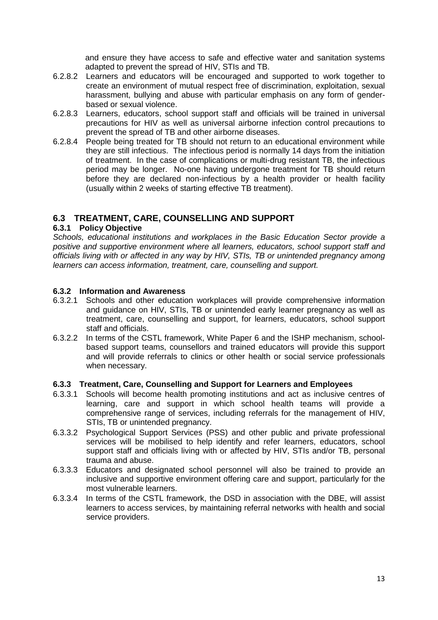and ensure they have access to safe and effective water and sanitation systems adapted to prevent the spread of HIV, STIs and TB.

- 6.2.8.2 Learners and educators will be encouraged and supported to work together to create an environment of mutual respect free of discrimination, exploitation, sexual harassment, bullying and abuse with particular emphasis on any form of genderbased or sexual violence.
- 6.2.8.3 Learners, educators, school support staff and officials will be trained in universal precautions for HIV as well as universal airborne infection control precautions to prevent the spread of TB and other airborne diseases.
- 6.2.8.4 People being treated for TB should not return to an educational environment while they are still infectious. The infectious period is normally 14 days from the initiation of treatment. In the case of complications or multi-drug resistant TB, the infectious period may be longer. No-one having undergone treatment for TB should return before they are declared non-infectious by a health provider or health facility (usually within 2 weeks of starting effective TB treatment).

# <span id="page-24-0"></span>**6.3 TREATMENT, CARE, COUNSELLING AND SUPPORT**

# <span id="page-24-1"></span>**6.3.1 Policy Objective**

*Schools, educational institutions and workplaces in the Basic Education Sector provide a positive and supportive environment where all learners, educators, school support staff and officials living with or affected in any way by HIV, STIs, TB or unintended pregnancy among learners can access information, treatment, care, counselling and support.*

# <span id="page-24-2"></span>**6.3.2 Information and Awareness**

- 6.3.2.1 Schools and other education workplaces will provide comprehensive information and guidance on HIV, STIs, TB or unintended early learner pregnancy as well as treatment, care, counselling and support, for learners, educators, school support staff and officials.
- 6.3.2.2 In terms of the CSTL framework, White Paper 6 and the ISHP mechanism, schoolbased support teams, counsellors and trained educators will provide this support and will provide referrals to clinics or other health or social service professionals when necessary.

#### <span id="page-24-3"></span>**6.3.3 Treatment, Care, Counselling and Support for Learners and Employees**

- 6.3.3.1 Schools will become health promoting institutions and act as inclusive centres of learning, care and support in which school health teams will provide a comprehensive range of services, including referrals for the management of HIV, STIs, TB or unintended pregnancy.
- 6.3.3.2 Psychological Support Services (PSS) and other public and private professional services will be mobilised to help identify and refer learners, educators, school support staff and officials living with or affected by HIV, STIs and/or TB, personal trauma and abuse.
- 6.3.3.3 Educators and designated school personnel will also be trained to provide an inclusive and supportive environment offering care and support, particularly for the most vulnerable learners.
- 6.3.3.4 In terms of the CSTL framework, the DSD in association with the DBE, will assist learners to access services, by maintaining referral networks with health and social service providers.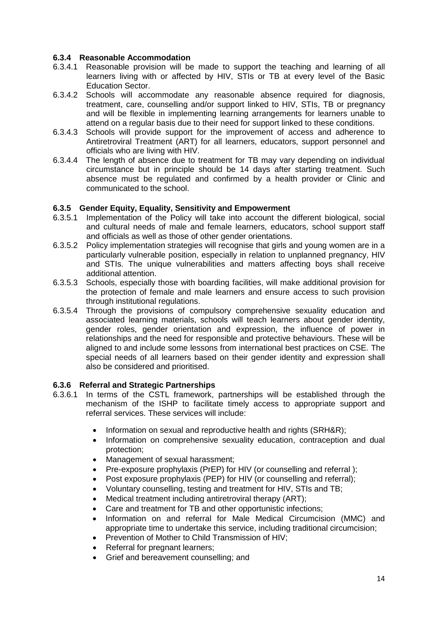#### <span id="page-25-0"></span>**6.3.4 Reasonable Accommodation**

- 6.3.4.1 Reasonable provision will be made to support the teaching and learning of all learners living with or affected by HIV, STIs or TB at every level of the Basic Education Sector.
- 6.3.4.2 Schools will accommodate any reasonable absence required for diagnosis, treatment, care, counselling and/or support linked to HIV, STIs, TB or pregnancy and will be flexible in implementing learning arrangements for learners unable to attend on a regular basis due to their need for support linked to these conditions.
- 6.3.4.3 Schools will provide support for the improvement of access and adherence to Antiretroviral Treatment (ART) for all learners, educators, support personnel and officials who are living with HIV.
- 6.3.4.4 The length of absence due to treatment for TB may vary depending on individual circumstance but in principle should be 14 days after starting treatment. Such absence must be regulated and confirmed by a health provider or Clinic and communicated to the school.

#### <span id="page-25-1"></span>**6.3.5 Gender Equity, Equality, Sensitivity and Empowerment**

- 6.3.5.1 Implementation of the Policy will take into account the different biological, social and cultural needs of male and female learners, educators, school support staff and officials as well as those of other gender orientations.
- 6.3.5.2 Policy implementation strategies will recognise that girls and young women are in a particularly vulnerable position, especially in relation to unplanned pregnancy, HIV and STIs. The unique vulnerabilities and matters affecting boys shall receive additional attention.
- 6.3.5.3 Schools, especially those with boarding facilities, will make additional provision for the protection of female and male learners and ensure access to such provision through institutional regulations.
- 6.3.5.4 Through the provisions of compulsory comprehensive sexuality education and associated learning materials, schools will teach learners about gender identity, gender roles, gender orientation and expression, the influence of power in relationships and the need for responsible and protective behaviours. These will be aligned to and include some lessons from international best practices on CSE. The special needs of all learners based on their gender identity and expression shall also be considered and prioritised.

#### <span id="page-25-2"></span>**6.3.6 Referral and Strategic Partnerships**

- 6.3.6.1 In terms of the CSTL framework, partnerships will be established through the mechanism of the ISHP to facilitate timely access to appropriate support and referral services. These services will include:
	- Information on sexual and reproductive health and rights (SRH&R);
	- Information on comprehensive sexuality education, contraception and dual protection;
	- Management of sexual harassment;
	- Pre-exposure prophylaxis (PrEP) for HIV (or counselling and referral );
	- Post exposure prophylaxis (PEP) for HIV (or counselling and referral);
	- Voluntary counselling, testing and treatment for HIV, STIs and TB;
	- Medical treatment including antiretroviral therapy (ART);
	- Care and treatment for TB and other opportunistic infections;
	- Information on and referral for Male Medical Circumcision (MMC) and appropriate time to undertake this service, including traditional circumcision;
	- Prevention of Mother to Child Transmission of HIV;
	- Referral for pregnant learners;
	- Grief and bereavement counselling; and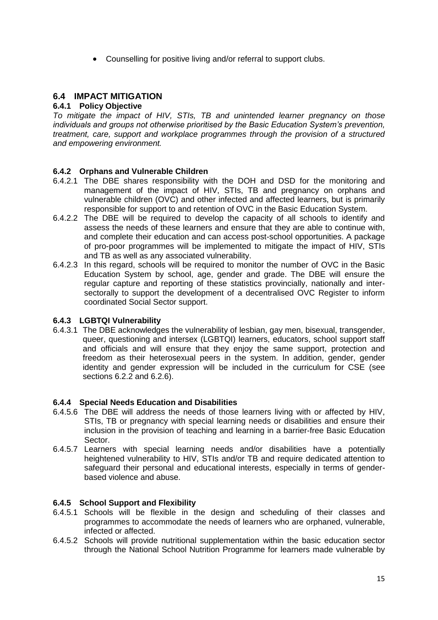Counselling for positive living and/or referral to support clubs.

# <span id="page-26-0"></span>**6.4 IMPACT MITIGATION**

### <span id="page-26-1"></span>**6.4.1 Policy Objective**

*To mitigate the impact of HIV, STIs, TB and unintended learner pregnancy on those individuals and groups not otherwise prioritised by the Basic Education System's prevention, treatment, care, support and workplace programmes through the provision of a structured and empowering environment.*

#### <span id="page-26-2"></span>**6.4.2 Orphans and Vulnerable Children**

- 6.4.2.1 The DBE shares responsibility with the DOH and DSD for the monitoring and management of the impact of HIV, STIs, TB and pregnancy on orphans and vulnerable children (OVC) and other infected and affected learners, but is primarily responsible for support to and retention of OVC in the Basic Education System.
- 6.4.2.2 The DBE will be required to develop the capacity of all schools to identify and assess the needs of these learners and ensure that they are able to continue with, and complete their education and can access post-school opportunities. A package of pro-poor programmes will be implemented to mitigate the impact of HIV, STIs and TB as well as any associated vulnerability.
- 6.4.2.3 In this regard, schools will be required to monitor the number of OVC in the Basic Education System by school, age, gender and grade. The DBE will ensure the regular capture and reporting of these statistics provincially, nationally and intersectorally to support the development of a decentralised OVC Register to inform coordinated Social Sector support.

#### <span id="page-26-3"></span>**6.4.3 LGBTQI Vulnerability**

6.4.3.1 The DBE acknowledges the vulnerability of lesbian, gay men, bisexual, transgender, queer, questioning and intersex (LGBTQI) learners, educators, school support staff and officials and will ensure that they enjoy the same support, protection and freedom as their heterosexual peers in the system. In addition, gender, gender identity and gender expression will be included in the curriculum for CSE (see sections 6.2.2 and 6.2.6).

#### <span id="page-26-4"></span>**6.4.4 Special Needs Education and Disabilities**

- 6.4.5.6 The DBE will address the needs of those learners living with or affected by HIV, STIs, TB or pregnancy with special learning needs or disabilities and ensure their inclusion in the provision of teaching and learning in a barrier-free Basic Education Sector.
- 6.4.5.7 Learners with special learning needs and/or disabilities have a potentially heightened vulnerability to HIV, STIs and/or TB and require dedicated attention to safeguard their personal and educational interests, especially in terms of genderbased violence and abuse.

#### <span id="page-26-5"></span>**6.4.5 School Support and Flexibility**

- 6.4.5.1 Schools will be flexible in the design and scheduling of their classes and programmes to accommodate the needs of learners who are orphaned, vulnerable, infected or affected.
- 6.4.5.2 Schools will provide nutritional supplementation within the basic education sector through the National School Nutrition Programme for learners made vulnerable by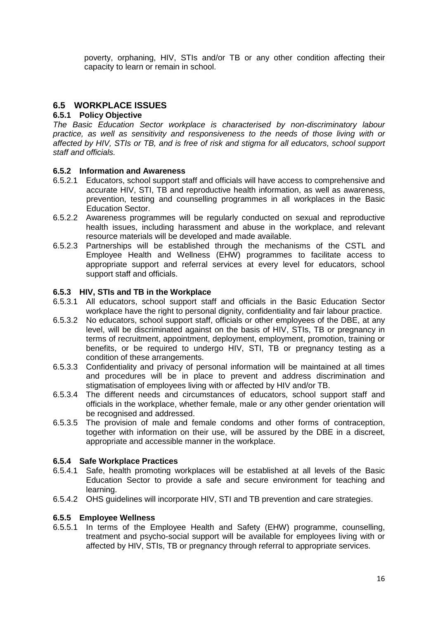poverty, orphaning, HIV, STIs and/or TB or any other condition affecting their capacity to learn or remain in school.

# <span id="page-27-0"></span>**6.5 WORKPLACE ISSUES**

# <span id="page-27-1"></span>**6.5.1 Policy Objective**

*The Basic Education Sector workplace is characterised by non-discriminatory labour practice, as well as sensitivity and responsiveness to the needs of those living with or affected by HIV, STIs or TB, and is free of risk and stigma for all educators, school support staff and officials.*

#### <span id="page-27-2"></span>**6.5.2 Information and Awareness**

- 6.5.2.1 Educators, school support staff and officials will have access to comprehensive and accurate HIV, STI, TB and reproductive health information, as well as awareness, prevention, testing and counselling programmes in all workplaces in the Basic Education Sector.
- 6.5.2.2 Awareness programmes will be regularly conducted on sexual and reproductive health issues, including harassment and abuse in the workplace, and relevant resource materials will be developed and made available.
- 6.5.2.3 Partnerships will be established through the mechanisms of the CSTL and Employee Health and Wellness (EHW) programmes to facilitate access to appropriate support and referral services at every level for educators, school support staff and officials.

#### <span id="page-27-3"></span>**6.5.3 HIV, STIs and TB in the Workplace**

- 6.5.3.1 All educators, school support staff and officials in the Basic Education Sector workplace have the right to personal dignity, confidentiality and fair labour practice.
- 6.5.3.2 No educators, school support staff, officials or other employees of the DBE, at any level, will be discriminated against on the basis of HIV, STIs, TB or pregnancy in terms of recruitment, appointment, deployment, employment, promotion, training or benefits, or be required to undergo HIV, STI, TB or pregnancy testing as a condition of these arrangements.
- 6.5.3.3 Confidentiality and privacy of personal information will be maintained at all times and procedures will be in place to prevent and address discrimination and stigmatisation of employees living with or affected by HIV and/or TB.
- 6.5.3.4 The different needs and circumstances of educators, school support staff and officials in the workplace, whether female, male or any other gender orientation will be recognised and addressed.
- 6.5.3.5 The provision of male and female condoms and other forms of contraception, together with information on their use, will be assured by the DBE in a discreet, appropriate and accessible manner in the workplace.

#### <span id="page-27-4"></span>**6.5.4 Safe Workplace Practices**

- 6.5.4.1 Safe, health promoting workplaces will be established at all levels of the Basic Education Sector to provide a safe and secure environment for teaching and learning.
- 6.5.4.2 OHS guidelines will incorporate HIV, STI and TB prevention and care strategies.

#### <span id="page-27-5"></span>**6.5.5 Employee Wellness**

6.5.5.1 In terms of the Employee Health and Safety (EHW) programme, counselling, treatment and psycho-social support will be available for employees living with or affected by HIV, STIs, TB or pregnancy through referral to appropriate services.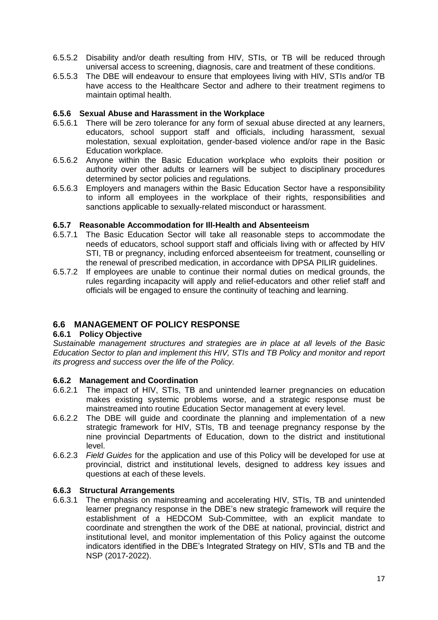- 6.5.5.2 Disability and/or death resulting from HIV, STIs, or TB will be reduced through universal access to screening, diagnosis, care and treatment of these conditions.
- 6.5.5.3 The DBE will endeavour to ensure that employees living with HIV, STIs and/or TB have access to the Healthcare Sector and adhere to their treatment regimens to maintain optimal health.

#### <span id="page-28-0"></span>**6.5.6 Sexual Abuse and Harassment in the Workplace**

- 6.5.6.1 There will be zero tolerance for any form of sexual abuse directed at any learners, educators, school support staff and officials, including harassment, sexual molestation, sexual exploitation, gender-based violence and/or rape in the Basic Education workplace.
- 6.5.6.2 Anyone within the Basic Education workplace who exploits their position or authority over other adults or learners will be subject to disciplinary procedures determined by sector policies and regulations.
- 6.5.6.3 Employers and managers within the Basic Education Sector have a responsibility to inform all employees in the workplace of their rights, responsibilities and sanctions applicable to sexually-related misconduct or harassment.

#### <span id="page-28-1"></span>**6.5.7 Reasonable Accommodation for Ill-Health and Absenteeism**

- 6.5.7.1 The Basic Education Sector will take all reasonable steps to accommodate the needs of educators, school support staff and officials living with or affected by HIV STI, TB or pregnancy, including enforced absenteeism for treatment, counselling or the renewal of prescribed medication, in accordance with DPSA PILIR guidelines.
- 6.5.7.2 If employees are unable to continue their normal duties on medical grounds, the rules regarding incapacity will apply and relief-educators and other relief staff and officials will be engaged to ensure the continuity of teaching and learning.

# <span id="page-28-2"></span>**6.6 MANAGEMENT OF POLICY RESPONSE**

# <span id="page-28-3"></span>**6.6.1 Policy Objective**

*Sustainable management structures and strategies are in place at all levels of the Basic Education Sector to plan and implement this HIV, STIs and TB Policy and monitor and report its progress and success over the life of the Policy.*

#### <span id="page-28-4"></span>**6.6.2 Management and Coordination**

- 6.6.2.1 The impact of HIV, STIs, TB and unintended learner pregnancies on education makes existing systemic problems worse, and a strategic response must be mainstreamed into routine Education Sector management at every level.
- 6.6.2.2 The DBE will guide and coordinate the planning and implementation of a new strategic framework for HIV, STIs, TB and teenage pregnancy response by the nine provincial Departments of Education, down to the district and institutional level.
- 6.6.2.3 *Field Guides* for the application and use of this Policy will be developed for use at provincial, district and institutional levels, designed to address key issues and questions at each of these levels.

#### <span id="page-28-5"></span>**6.6.3 Structural Arrangements**

6.6.3.1 The emphasis on mainstreaming and accelerating HIV, STIs, TB and unintended learner pregnancy response in the DBE's new strategic framework will require the establishment of a HEDCOM Sub-Committee, with an explicit mandate to coordinate and strengthen the work of the DBE at national, provincial, district and institutional level, and monitor implementation of this Policy against the outcome indicators identified in the DBE's Integrated Strategy on HIV, STIs and TB and the NSP (2017-2022).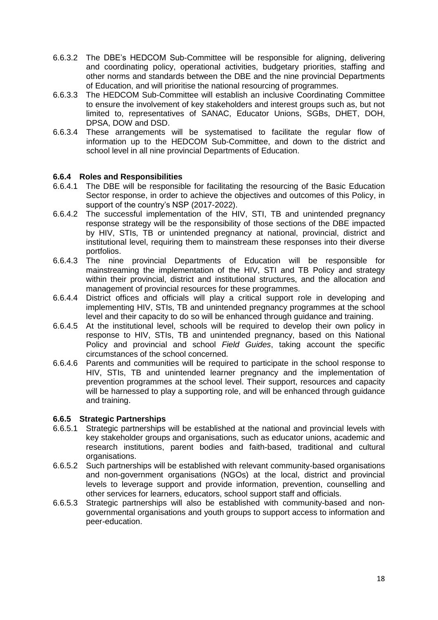- 6.6.3.2 The DBE's HEDCOM Sub-Committee will be responsible for aligning, delivering and coordinating policy, operational activities, budgetary priorities, staffing and other norms and standards between the DBE and the nine provincial Departments of Education, and will prioritise the national resourcing of programmes.
- 6.6.3.3 The HEDCOM Sub-Committee will establish an inclusive Coordinating Committee to ensure the involvement of key stakeholders and interest groups such as, but not limited to, representatives of SANAC, Educator Unions, SGBs, DHET, DOH, DPSA, DOW and DSD.
- 6.6.3.4 These arrangements will be systematised to facilitate the regular flow of information up to the HEDCOM Sub-Committee, and down to the district and school level in all nine provincial Departments of Education.

# <span id="page-29-0"></span>**6.6.4 Roles and Responsibilities**

- 6.6.4.1 The DBE will be responsible for facilitating the resourcing of the Basic Education Sector response, in order to achieve the objectives and outcomes of this Policy, in support of the country's NSP (2017-2022).
- 6.6.4.2 The successful implementation of the HIV, STI, TB and unintended pregnancy response strategy will be the responsibility of those sections of the DBE impacted by HIV, STIs, TB or unintended pregnancy at national, provincial, district and institutional level, requiring them to mainstream these responses into their diverse portfolios.
- 6.6.4.3 The nine provincial Departments of Education will be responsible for mainstreaming the implementation of the HIV, STI and TB Policy and strategy within their provincial, district and institutional structures, and the allocation and management of provincial resources for these programmes.
- 6.6.4.4 District offices and officials will play a critical support role in developing and implementing HIV, STIs, TB and unintended pregnancy programmes at the school level and their capacity to do so will be enhanced through guidance and training.
- 6.6.4.5 At the institutional level, schools will be required to develop their own policy in response to HIV, STIs, TB and unintended pregnancy, based on this National Policy and provincial and school *Field Guides*, taking account the specific circumstances of the school concerned.
- 6.6.4.6 Parents and communities will be required to participate in the school response to HIV, STIs, TB and unintended learner pregnancy and the implementation of prevention programmes at the school level. Their support, resources and capacity will be harnessed to play a supporting role, and will be enhanced through guidance and training.

#### <span id="page-29-1"></span>**6.6.5 Strategic Partnerships**

- 6.6.5.1 Strategic partnerships will be established at the national and provincial levels with key stakeholder groups and organisations, such as educator unions, academic and research institutions, parent bodies and faith-based, traditional and cultural organisations.
- 6.6.5.2 Such partnerships will be established with relevant community-based organisations and non-government organisations (NGOs) at the local, district and provincial levels to leverage support and provide information, prevention, counselling and other services for learners, educators, school support staff and officials.
- 6.6.5.3 Strategic partnerships will also be established with community-based and nongovernmental organisations and youth groups to support access to information and peer-education.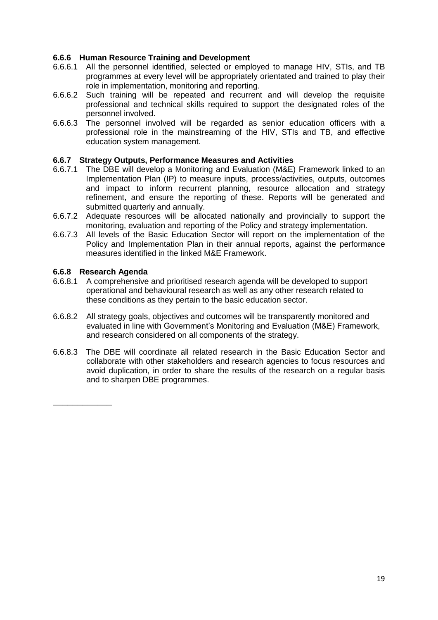# <span id="page-30-0"></span>**6.6.6 Human Resource Training and Development**

- 6.6.6.1 All the personnel identified, selected or employed to manage HIV, STIs, and TB programmes at every level will be appropriately orientated and trained to play their role in implementation, monitoring and reporting.
- 6.6.6.2 Such training will be repeated and recurrent and will develop the requisite professional and technical skills required to support the designated roles of the personnel involved.
- 6.6.6.3 The personnel involved will be regarded as senior education officers with a professional role in the mainstreaming of the HIV, STIs and TB, and effective education system management.

#### <span id="page-30-1"></span>**6.6.7 Strategy Outputs, Performance Measures and Activities**

- 6.6.7.1 The DBE will develop a Monitoring and Evaluation (M&E) Framework linked to an Implementation Plan (IP) to measure inputs, process/activities, outputs, outcomes and impact to inform recurrent planning, resource allocation and strategy refinement, and ensure the reporting of these. Reports will be generated and submitted quarterly and annually.
- 6.6.7.2 Adequate resources will be allocated nationally and provincially to support the monitoring, evaluation and reporting of the Policy and strategy implementation.
- 6.6.7.3 All levels of the Basic Education Sector will report on the implementation of the Policy and Implementation Plan in their annual reports, against the performance measures identified in the linked M&E Framework.

#### <span id="page-30-2"></span>**6.6.8 Research Agenda**

**\_\_\_\_\_\_\_\_\_\_\_\_**

- 6.6.8.1 A comprehensive and prioritised research agenda will be developed to support operational and behavioural research as well as any other research related to these conditions as they pertain to the basic education sector.
- 6.6.8.2 All strategy goals, objectives and outcomes will be transparently monitored and evaluated in line with Government's Monitoring and Evaluation (M&E) Framework, and research considered on all components of the strategy.
- 6.6.8.3 The DBE will coordinate all related research in the Basic Education Sector and collaborate with other stakeholders and research agencies to focus resources and avoid duplication, in order to share the results of the research on a regular basis and to sharpen DBE programmes.

19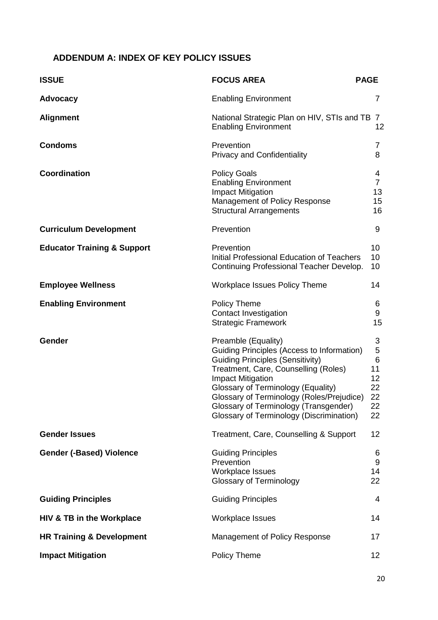# <span id="page-31-0"></span>**ADDENDUM A: INDEX OF KEY POLICY ISSUES**

| <b>ISSUE</b>                           | <b>FOCUS AREA</b>                                                                                                                                                                                                                                                                                                                                               | <b>PAGE</b>                                                                |
|----------------------------------------|-----------------------------------------------------------------------------------------------------------------------------------------------------------------------------------------------------------------------------------------------------------------------------------------------------------------------------------------------------------------|----------------------------------------------------------------------------|
| <b>Advocacy</b>                        | <b>Enabling Environment</b>                                                                                                                                                                                                                                                                                                                                     | $\overline{7}$                                                             |
| <b>Alignment</b>                       | National Strategic Plan on HIV, STIs and TB 7<br><b>Enabling Environment</b>                                                                                                                                                                                                                                                                                    | 12                                                                         |
| <b>Condoms</b>                         | Prevention<br><b>Privacy and Confidentiality</b>                                                                                                                                                                                                                                                                                                                | 7<br>8                                                                     |
| <b>Coordination</b>                    | <b>Policy Goals</b><br><b>Enabling Environment</b><br><b>Impact Mitigation</b><br>Management of Policy Response<br><b>Structural Arrangements</b>                                                                                                                                                                                                               | 4<br>$\overline{7}$<br>13<br>15<br>16                                      |
| <b>Curriculum Development</b>          | Prevention                                                                                                                                                                                                                                                                                                                                                      | 9                                                                          |
| <b>Educator Training &amp; Support</b> | Prevention<br>Initial Professional Education of Teachers<br>Continuing Professional Teacher Develop.                                                                                                                                                                                                                                                            | 10<br>10<br>10                                                             |
| <b>Employee Wellness</b>               | <b>Workplace Issues Policy Theme</b>                                                                                                                                                                                                                                                                                                                            | 14                                                                         |
| <b>Enabling Environment</b>            | <b>Policy Theme</b><br><b>Contact Investigation</b><br><b>Strategic Framework</b>                                                                                                                                                                                                                                                                               | 6<br>9<br>15                                                               |
| Gender                                 | Preamble (Equality)<br>Guiding Principles (Access to Information)<br><b>Guiding Principles (Sensitivity)</b><br>Treatment, Care, Counselling (Roles)<br><b>Impact Mitigation</b><br>Glossary of Terminology (Equality)<br>Glossary of Terminology (Roles/Prejudice)<br>Glossary of Terminology (Transgender)<br><b>Glossary of Terminology (Discrimination)</b> | 3<br>$\mathbf 5$<br>$\,6$<br>11<br>12 <sub>2</sub><br>22<br>22<br>22<br>22 |
| <b>Gender Issues</b>                   | Treatment, Care, Counselling & Support                                                                                                                                                                                                                                                                                                                          | 12                                                                         |
| <b>Gender (-Based) Violence</b>        | <b>Guiding Principles</b><br>Prevention<br><b>Workplace Issues</b><br><b>Glossary of Terminology</b>                                                                                                                                                                                                                                                            | 6<br>$9\,$<br>14<br>22                                                     |
| <b>Guiding Principles</b>              | <b>Guiding Principles</b>                                                                                                                                                                                                                                                                                                                                       | 4                                                                          |
| HIV & TB in the Workplace              | Workplace Issues                                                                                                                                                                                                                                                                                                                                                | 14                                                                         |
| <b>HR Training &amp; Development</b>   | Management of Policy Response                                                                                                                                                                                                                                                                                                                                   | 17                                                                         |
| <b>Impact Mitigation</b>               | Policy Theme                                                                                                                                                                                                                                                                                                                                                    | 12                                                                         |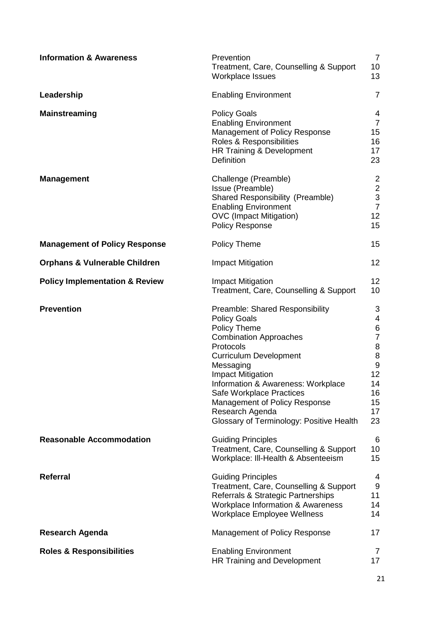| <b>Information &amp; Awareness</b>        | Prevention<br>Treatment, Care, Counselling & Support<br>Workplace Issues                                                                                                                                                                                                                                                                                                | $\overline{7}$<br>10<br>13                                                                                                         |
|-------------------------------------------|-------------------------------------------------------------------------------------------------------------------------------------------------------------------------------------------------------------------------------------------------------------------------------------------------------------------------------------------------------------------------|------------------------------------------------------------------------------------------------------------------------------------|
| Leadership                                | <b>Enabling Environment</b>                                                                                                                                                                                                                                                                                                                                             | $\overline{7}$                                                                                                                     |
| <b>Mainstreaming</b>                      | <b>Policy Goals</b><br><b>Enabling Environment</b><br>Management of Policy Response<br>Roles & Responsibilities<br>HR Training & Development<br><b>Definition</b>                                                                                                                                                                                                       | 4<br>$\overline{7}$<br>15<br>16<br>17<br>23                                                                                        |
| <b>Management</b>                         | Challenge (Preamble)<br>Issue (Preamble)<br>Shared Responsibility (Preamble)<br><b>Enabling Environment</b><br><b>OVC</b> (Impact Mitigation)<br><b>Policy Response</b>                                                                                                                                                                                                 | 2<br>$\begin{array}{c} 2 \\ 3 \\ 7 \end{array}$<br>12<br>15                                                                        |
| <b>Management of Policy Response</b>      | <b>Policy Theme</b>                                                                                                                                                                                                                                                                                                                                                     | 15                                                                                                                                 |
| <b>Orphans &amp; Vulnerable Children</b>  | <b>Impact Mitigation</b>                                                                                                                                                                                                                                                                                                                                                | 12                                                                                                                                 |
| <b>Policy Implementation &amp; Review</b> | <b>Impact Mitigation</b><br>Treatment, Care, Counselling & Support                                                                                                                                                                                                                                                                                                      | 12<br>10                                                                                                                           |
| <b>Prevention</b>                         | Preamble: Shared Responsibility<br><b>Policy Goals</b><br>Policy Theme<br><b>Combination Approaches</b><br>Protocols<br><b>Curriculum Development</b><br>Messaging<br><b>Impact Mitigation</b><br>Information & Awareness: Workplace<br><b>Safe Workplace Practices</b><br>Management of Policy Response<br>Research Agenda<br>Glossary of Terminology: Positive Health | 3<br>4<br>$\,6$<br>$\overline{7}$<br>$\begin{array}{c} 8 \\ 8 \end{array}$<br>$\boldsymbol{9}$<br>12<br>14<br>16<br>15<br>17<br>23 |
| <b>Reasonable Accommodation</b>           | <b>Guiding Principles</b><br>Treatment, Care, Counselling & Support<br>Workplace: III-Health & Absenteeism                                                                                                                                                                                                                                                              | 6<br>10<br>15                                                                                                                      |
| Referral                                  | <b>Guiding Principles</b><br>Treatment, Care, Counselling & Support<br>Referrals & Strategic Partnerships<br><b>Workplace Information &amp; Awareness</b><br><b>Workplace Employee Wellness</b>                                                                                                                                                                         | 4<br>$\boldsymbol{9}$<br>11<br>14<br>14                                                                                            |
| <b>Research Agenda</b>                    | Management of Policy Response                                                                                                                                                                                                                                                                                                                                           | 17                                                                                                                                 |
| <b>Roles &amp; Responsibilities</b>       | <b>Enabling Environment</b><br>HR Training and Development                                                                                                                                                                                                                                                                                                              | 7<br>17                                                                                                                            |